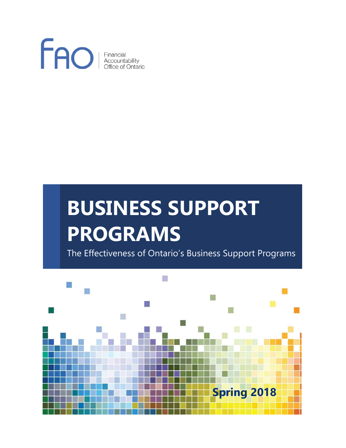

# **BUSINESS SUPPORT PROGRAMS**

The Effectiveness of Ontario's Business Support Programs

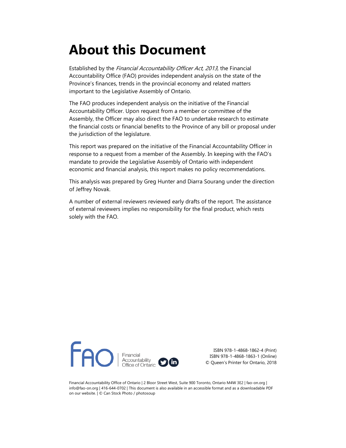# **About this Document**

Established by the Financial Accountability Officer Act, 2013, the Financial Accountability Office (FAO) provides independent analysis on the state of the Province's finances, trends in the provincial economy and related matters important to the Legislative Assembly of Ontario.

The FAO produces independent analysis on the initiative of the Financial Accountability Officer. Upon request from a member or committee of the Assembly, the Officer may also direct the FAO to undertake research to estimate the financial costs or financial benefits to the Province of any bill or proposal under the jurisdiction of the legislature.

This report was prepared on the initiative of the Financial Accountability Officer in response to a request from a member of the Assembly. In keeping with the FAO's mandate to provide the Legislative Assembly of Ontario with independent economic and financial analysis, this report makes no policy recommendations.

This analysis was prepared by Greg Hunter and Diarra Sourang under the direction of Jeffrey Novak.

A number of external reviewers reviewed early drafts of the report. The assistance of external reviewers implies no responsibility for the final product, which rests solely with the FAO.



ISBN 978-1-4868-1862-4 (Print) ISBN 978-1-4868-1863-1 (Online) © Queen's Printer for Ontario, 2018

Financial Accountability Office of Ontario | 2 Bloor Street West, Suite 900 Toronto, Ontario M4W 3E2 | fao-on.org | info@fao-on.org | 416-644-0702 | This document is also available in an accessible format and as a downloadable PDF on our website. | © Can Stock Photo / photosoup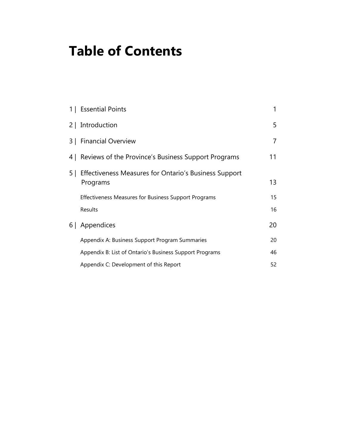# **Table of Contents**

|     | 1   Essential Points                                              | 1  |
|-----|-------------------------------------------------------------------|----|
|     | 2   Introduction                                                  | 5  |
|     | 3   Financial Overview                                            | 7  |
| 4 I | Reviews of the Province's Business Support Programs               | 11 |
| 5   | Effectiveness Measures for Ontario's Business Support<br>Programs | 13 |
|     | Effectiveness Measures for Business Support Programs              | 15 |
|     | Results                                                           | 16 |
| 6 I | Appendices                                                        | 20 |
|     | Appendix A: Business Support Program Summaries                    | 20 |
|     | Appendix B: List of Ontario's Business Support Programs           | 46 |
|     | Appendix C: Development of this Report                            | 52 |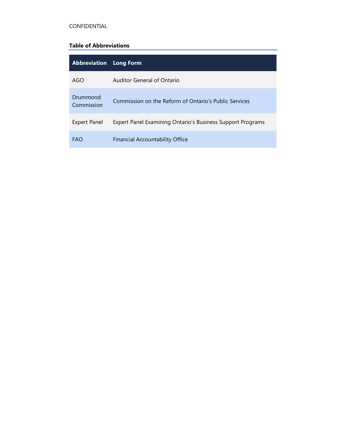#### CONFIDENTIAL

#### **Table of Abbreviations**

| <b>Abbreviation</b>    | <b>Long Form</b>                                           |
|------------------------|------------------------------------------------------------|
| AGO                    | Auditor General of Ontario                                 |
| Drummond<br>Commission | Commission on the Reform of Ontario's Public Services      |
| <b>Expert Panel</b>    | Expert Panel Examining Ontario's Business Support Programs |
| <b>FAO</b>             | <b>Financial Accountability Office</b>                     |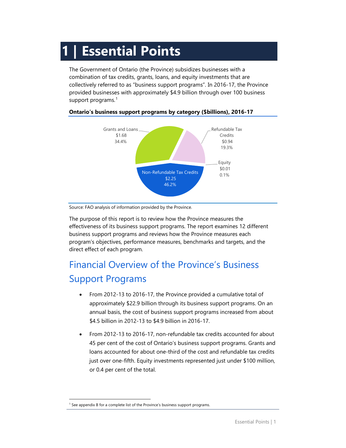# <span id="page-4-0"></span>**1 | Essential Points**

The Government of Ontario (the Province) subsidizes businesses with a combination of tax credits, grants, loans, and equity investments that are collectively referred to as "business support programs". In 2016-17, the Province provided businesses with approximately \$4.9 billion through over 100 business support programs.<sup>[1](#page-4-1)</sup>



#### **Ontario's business support programs by category (\$billions), 2016-17**

Source: FAO analysis of information provided by the Province.

The purpose of this report is to review how the Province measures the effectiveness of its business support programs. The report examines 12 different business support programs and reviews how the Province measures each program's objectives, performance measures, benchmarks and targets, and the direct effect of each program.

# Financial Overview of the Province's Business Support Programs

- From 2012-13 to 2016-17, the Province provided a cumulative total of approximately \$22.9 billion through its business support programs. On an annual basis, the cost of business support programs increased from about \$4.5 billion in 2012-13 to \$4.9 billion in 2016-17.
- From 2012-13 to 2016-17, non-refundable tax credits accounted for about 45 per cent of the cost of Ontario's business support programs. Grants and loans accounted for about one-third of the cost and refundable tax credits just over one-fifth. Equity investments represented just under \$100 million, or 0.4 per cent of the total.

<span id="page-4-1"></span> <sup>1</sup> See appendix B for a complete list of the Province's business support programs.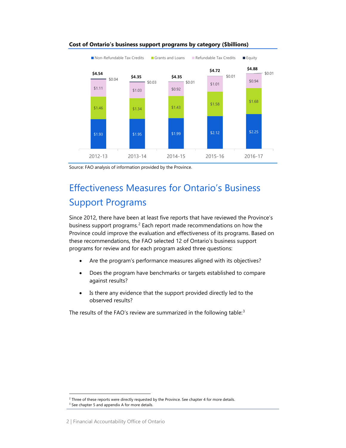

#### **Cost of Ontario's business support programs by category (\$billions)**

# Effectiveness Measures for Ontario's Business Support Programs

Since 2012, there have been at least five reports that have reviewed the Province's business support programs.<sup>[2](#page-5-0)</sup> Each report made recommendations on how the Province could improve the evaluation and effectiveness of its programs. Based on these recommendations, the FAO selected 12 of Ontario's business support programs for review and for each program asked three questions:

- Are the program's performance measures aligned with its objectives?
- Does the program have benchmarks or targets established to compare against results?
- Is there any evidence that the support provided directly led to the observed results?

The results of the FAO's review are summarized in the following table:<sup>[3](#page-5-1)</sup>

Source: FAO analysis of information provided by the Province.

<span id="page-5-0"></span> $2$  Three of these reports were directly requested by the Province. See chapter 4 for more details.

<span id="page-5-1"></span><sup>&</sup>lt;sup>3</sup> See chapter 5 and appendix A for more details.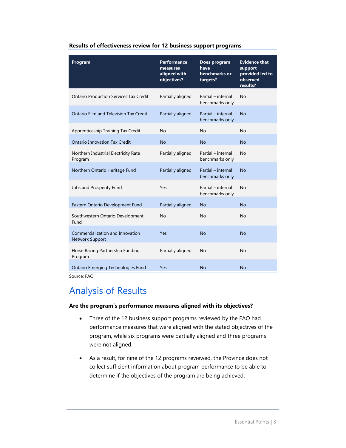| Program                                                    | <b>Performance</b><br>measures<br>aligned with<br>objectives? | Does program<br>have<br>benchmarks or<br>targets? | <b>Evidence that</b><br>support<br>provided led to<br>observed<br>results? |
|------------------------------------------------------------|---------------------------------------------------------------|---------------------------------------------------|----------------------------------------------------------------------------|
| <b>Ontario Production Services Tax Credit</b>              | Partially aligned                                             | Partial - internal<br>benchmarks only             | No                                                                         |
| Ontario Film and Television Tax Credit                     | Partially aligned                                             | Partial - internal<br>benchmarks only             | <b>No</b>                                                                  |
| Apprenticeship Training Tax Credit                         | No                                                            | No                                                | No                                                                         |
| <b>Ontario Innovation Tax Credit</b>                       | <b>No</b>                                                     | <b>No</b>                                         | <b>No</b>                                                                  |
| Northern Industrial Electricity Rate<br>Program            | Partially aligned                                             | Partial - internal<br>benchmarks only             | No                                                                         |
| Northern Ontario Heritage Fund                             | Partially aligned                                             | Partial - internal<br>benchmarks only             | <b>No</b>                                                                  |
| Jobs and Prosperity Fund                                   | Yes                                                           | Partial - internal<br>benchmarks only             | No                                                                         |
| Eastern Ontario Development Fund                           | Partially aligned                                             | <b>No</b>                                         | <b>No</b>                                                                  |
| Southwestern Ontario Development<br>Fund                   | No                                                            | No                                                | No                                                                         |
| Commercialization and Innovation<br><b>Network Support</b> | Yes                                                           | <b>No</b>                                         | <b>No</b>                                                                  |
| Horse Racing Partnership Funding<br>Program                | Partially aligned                                             | No                                                | No                                                                         |
| Ontario Emerging Technologies Fund                         | Yes                                                           | <b>No</b>                                         | <b>No</b>                                                                  |

#### **Results of effectiveness review for 12 business support programs**

Source: FAO.

# Analysis of Results

#### **Are the program's performance measures aligned with its objectives?**

- Three of the 12 business support programs reviewed by the FAO had performance measures that were aligned with the stated objectives of the program, while six programs were partially aligned and three programs were not aligned.
- As a result, for nine of the 12 programs reviewed, the Province does not collect sufficient information about program performance to be able to determine if the objectives of the program are being achieved.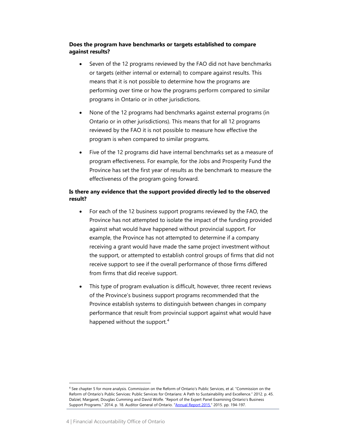#### **Does the program have benchmarks or targets established to compare against results?**

- Seven of the 12 programs reviewed by the FAO did not have benchmarks or targets (either internal or external) to compare against results. This means that it is not possible to determine how the programs are performing over time or how the programs perform compared to similar programs in Ontario or in other jurisdictions.
- None of the 12 programs had benchmarks against external programs (in Ontario or in other jurisdictions). This means that for all 12 programs reviewed by the FAO it is not possible to measure how effective the program is when compared to similar programs.
- Five of the 12 programs did have internal benchmarks set as a measure of program effectiveness. For example, for the Jobs and Prosperity Fund the Province has set the first year of results as the benchmark to measure the effectiveness of the program going forward.

#### **Is there any evidence that the support provided directly led to the observed result?**

- For each of the 12 business support programs reviewed by the FAO, the Province has not attempted to isolate the impact of the funding provided against what would have happened without provincial support. For example, the Province has not attempted to determine if a company receiving a grant would have made the same project investment without the support, or attempted to establish control groups of firms that did not receive support to see if the overall performance of those firms differed from firms that did receive support.
- This type of program evaluation is difficult, however, three recent reviews of the Province's business support programs recommended that the Province establish systems to distinguish between changes in company performance that result from provincial support against what would have happened without the support. $4$

<span id="page-7-0"></span> <sup>4</sup> See chapter 5 for more analysis. Commission on the Reform of Ontario's Public Services, et al. "Commission on the Reform of Ontario's Public Services: Public Services for Ontarians: A Path to Sustainability and Excellence." 2012. p. 45. Dalziel, Margaret, Douglas Cumming and David Wolfe. "Report of the Expert Panel Examining Ontario's Business Support Programs." 2014. p. 18. Auditor General of Ontario. ["Annual Report 2015."](http://www.auditor.on.ca/en/content/annualreports/arreports/en15/2015AR_en_final.pdf) 2015. pp. 194-197.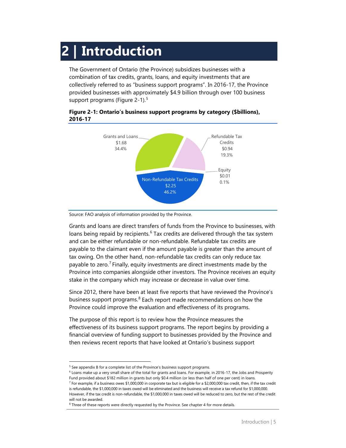# <span id="page-8-0"></span>**2 | Introduction**

The Government of Ontario (the Province) subsidizes businesses with a combination of tax credits, grants, loans, and equity investments that are collectively referred to as "business support programs". In 2016-17, the Province provided businesses with approximately \$4.9 billion through over 100 business support programs [\(Figure 2-1\)](#page-8-1).<sup>[5](#page-8-2)</sup>



#### <span id="page-8-1"></span>**Figure 2-1: Ontario's business support programs by category (\$billions), 2016-17**

Source: FAO analysis of information provided by the Province.

Grants and loans are direct transfers of funds from the Province to businesses, with loans being repaid by recipients. $6$  Tax credits are delivered through the tax system and can be either refundable or non-refundable. Refundable tax credits are payable to the claimant even if the amount payable is greater than the amount of tax owing. On the other hand, non-refundable tax credits can only reduce tax payable to zero.<sup>[7](#page-8-4)</sup> Finally, equity investments are direct investments made by the Province into companies alongside other investors. The Province receives an equity stake in the company which may increase or decrease in value over time.

Since 2012, there have been at least five reports that have reviewed the Province's business support programs.<sup>[8](#page-8-5)</sup> Each report made recommendations on how the Province could improve the evaluation and effectiveness of its programs.

The purpose of this report is to review how the Province measures the effectiveness of its business support programs. The report begins by providing a financial overview of funding support to businesses provided by the Province and then reviews recent reports that have looked at Ontario's business support

<span id="page-8-2"></span><sup>&</sup>lt;sup>5</sup> See appendix B for a complete list of the Province's business support programs.

<span id="page-8-3"></span> $^6$  Loans make up a very small share of the total for grants and loans. For example, in 2016-17, the Jobs and Prosperity Fund provided about \$182 million in grants but only \$0.4 million (or less than half of one per cent) in loans.

<span id="page-8-4"></span> $^7$  For example, if a business owes \$1,000,000 in corporate tax but is eligible for a \$2,000,000 tax credit, then, if the tax credit is refundable, the \$1,000,000 in taxes owed will be eliminated and the business will receive a tax refund for \$1,000,000. However, if the tax credit is non-refundable, the \$1,000,000 in taxes owed will be reduced to zero, but the rest of the credit will not be awarded.

<span id="page-8-5"></span> $8$  Three of these reports were directly requested by the Province. See chapter 4 for more details.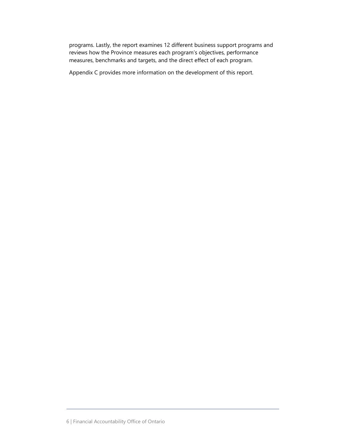programs. Lastly, the report examines 12 different business support programs and reviews how the Province measures each program's objectives, performance measures, benchmarks and targets, and the direct effect of each program.

Appendix C provides more information on the development of this report.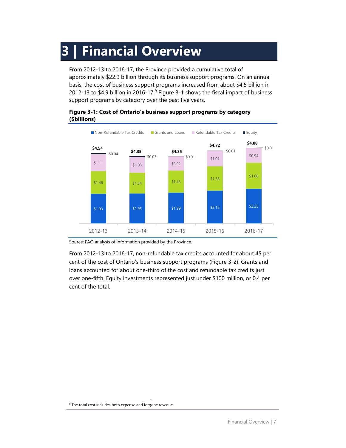# <span id="page-10-0"></span>**3 | Financial Overview**

From 2012-13 to 2016-17, the Province provided a cumulative total of approximately \$22.9 billion through its business support programs. On an annual basis, the cost of business support programs increased from about \$4.5 billion in 2012-13 to \$4.[9](#page-10-2) billion in 2016-17. $9$  [Figure 3-1](#page-10-1) shows the fiscal impact of business support programs by category over the past five years.

#### <span id="page-10-1"></span>**Figure 3-1: Cost of Ontario's business support programs by category (\$billions)**



Source: FAO analysis of information provided by the Province.

From 2012-13 to 2016-17, non-refundable tax credits accounted for about 45 per cent of the cost of Ontario's business support programs [\(Figure 3-2\)](#page-11-0). Grants and loans accounted for about one-third of the cost and refundable tax credits just over one-fifth. Equity investments represented just under \$100 million, or 0.4 per cent of the total.

<span id="page-10-2"></span><sup>&</sup>lt;sup>9</sup> The total cost includes both expense and forgone revenue.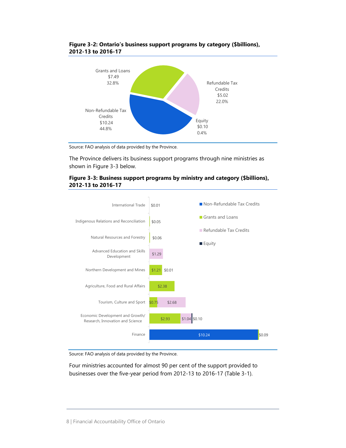

<span id="page-11-0"></span>

Source: FAO analysis of data provided by the Province.

The Province delivers its business support programs through nine ministries as shown in [Figure 3-3](#page-11-1) below.

<span id="page-11-1"></span>



Source: FAO analysis of data provided by the Province.

Four ministries accounted for almost 90 per cent of the support provided to businesses over the five-year period from 2012-13 to 2016-17 [\(Table 3-1\)](#page-12-0).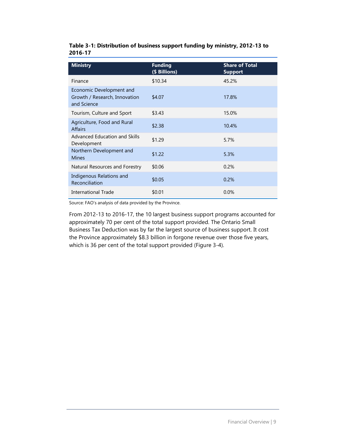| 60 I V 7 I <i>1</i>                                                      |                                 |                                         |  |  |
|--------------------------------------------------------------------------|---------------------------------|-----------------------------------------|--|--|
| <b>Ministry</b>                                                          | <b>Funding</b><br>(\$ Billions) | <b>Share of Total</b><br><b>Support</b> |  |  |
| Finance                                                                  | \$10.34                         | 45.2%                                   |  |  |
| Economic Development and<br>Growth / Research, Innovation<br>and Science | \$4.07                          | 17.8%                                   |  |  |
| Tourism, Culture and Sport                                               | \$3.43                          | 15.0%                                   |  |  |
| Agriculture, Food and Rural<br><b>Affairs</b>                            | \$2.38                          | 10.4%                                   |  |  |
| Advanced Education and Skills<br>Development                             | \$1.29                          | 5.7%                                    |  |  |
| Northern Development and                                                 | $+1 - 22$                       | 5.20                                    |  |  |

 $$1.22$  5.3% Natural Resources and Forestry \$0.06 0.2%

malgenous Nelations and  $$0.05$  0.2% International Trade  $$0.01$  0.0%

#### <span id="page-12-0"></span>**Table 3-1: Distribution of business support funding by ministry, 2012-13 to 2016-17**

Source: FAO's analysis of data provided by the Province.

Indigenous Relations and

From 2012-13 to 2016-17, the 10 largest business support programs accounted for approximately 70 per cent of the total support provided. The Ontario Small Business Tax Deduction was by far the largest source of business support. It cost the Province approximately \$8.3 billion in forgone revenue over those five years, which is 36 per cent of the total support provided [\(Figure 3-4\)](#page-13-0).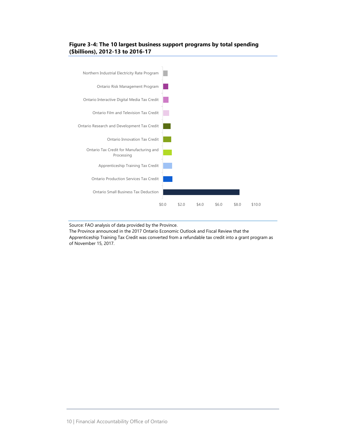#### <span id="page-13-0"></span>**Figure 3-4: The 10 largest business support programs by total spending (\$billions), 2012-13 to 2016-17**



Source: FAO analysis of data provided by the Province.

The Province announced in the 2017 Ontario Economic Outlook and Fiscal Review that the Apprenticeship Training Tax Credit was converted from a refundable tax credit into a grant program as of November 15, 2017.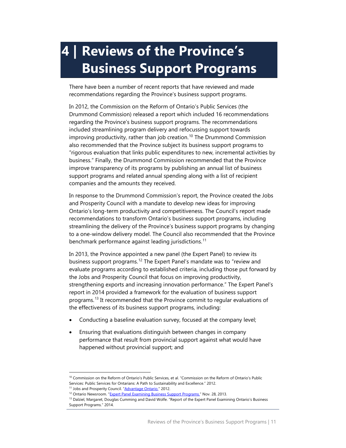# <span id="page-14-0"></span>**4 | Reviews of the Province's Business Support Programs**

There have been a number of recent reports that have reviewed and made recommendations regarding the Province's business support programs.

In 2012, the Commission on the Reform of Ontario's Public Services (the Drummond Commission) released a report which included 16 recommendations regarding the Province's business support programs. The recommendations included streamlining program delivery and refocussing support towards improving productivity, rather than job creation.<sup>[10](#page-14-1)</sup> The Drummond Commission also recommended that the Province subject its business support programs to "rigorous evaluation that links public expenditures to new, incremental activities by business." Finally, the Drummond Commission recommended that the Province improve transparency of its programs by publishing an annual list of business support programs and related annual spending along with a list of recipient companies and the amounts they received.

In response to the Drummond Commission's report, the Province created the Jobs and Prosperity Council with a mandate to develop new ideas for improving Ontario's long-term productivity and competitiveness. The Council's report made recommendations to transform Ontario's business support programs, including streamlining the delivery of the Province's business support programs by changing to a one-window delivery model. The Council also recommended that the Province benchmark performance against leading jurisdictions.<sup>[11](#page-14-2)</sup>

In 2013, the Province appointed a new panel (the Expert Panel) to review its business support programs.<sup>[12](#page-14-3)</sup> The Expert Panel's mandate was to "review and evaluate programs according to established criteria, including those put forward by the Jobs and Prosperity Council that focus on improving productivity, strengthening exports and increasing innovation performance." The Expert Panel's report in 2014 provided a framework for the evaluation of business support programs.[13](#page-14-4) It recommended that the Province commit to regular evaluations of the effectiveness of its business support programs, including:

- Conducting a baseline evaluation survey, focused at the company level;
- Ensuring that evaluations distinguish between changes in company performance that result from provincial support against what would have happened without provincial support; and

<span id="page-14-1"></span><sup>&</sup>lt;sup>10</sup> Commission on the Reform of Ontario's Public Services, et al. "Commission on the Reform of Ontario's Public Services: Public Services for Ontarians: A Path to Sustainability and Excellence." 2012.

<span id="page-14-3"></span><span id="page-14-2"></span><sup>&</sup>lt;sup>11</sup> Jobs and Prosperity Council. ["Advantage Ontario."](https://www.ontario.ca/page/advantage-ontario) 2012.

<sup>&</sup>lt;sup>12</sup> Ontario Newsroom. ["Expert Panel Examining Business Support Programs."](https://news.ontario.ca/mof/en/2013/11/expert-panel-examining-business-support-programs.html) Nov. 28, 2013.

<span id="page-14-4"></span><sup>&</sup>lt;sup>13</sup> Dalziel, Margaret, Douglas Cumming and David Wolfe. "Report of the Expert Panel Examining Ontario's Business Support Programs." 2014.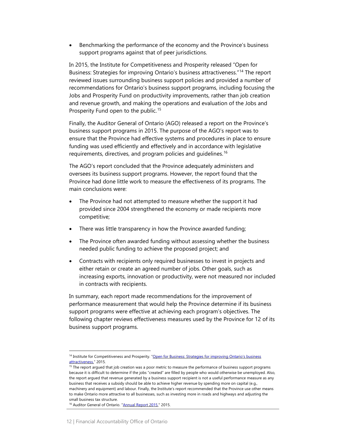• Benchmarking the performance of the economy and the Province's business support programs against that of peer jurisdictions.

In 2015, the Institute for Competitiveness and Prosperity released "Open for Business: Strategies for improving Ontario's business attractiveness."[14](#page-15-0) The report reviewed issues surrounding business support policies and provided a number of recommendations for Ontario's business support programs, including focusing the Jobs and Prosperity Fund on productivity improvements, rather than job creation and revenue growth, and making the operations and evaluation of the Jobs and Prosperity Fund open to the public.<sup>[15](#page-15-1)</sup>

Finally, the Auditor General of Ontario (AGO) released a report on the Province's business support programs in 2015. The purpose of the AGO's report was to ensure that the Province had effective systems and procedures in place to ensure funding was used efficiently and effectively and in accordance with legislative requirements, directives, and program policies and quidelines.<sup>[16](#page-15-2)</sup>

The AGO's report concluded that the Province adequately administers and oversees its business support programs. However, the report found that the Province had done little work to measure the effectiveness of its programs. The main conclusions were:

- The Province had not attempted to measure whether the support it had provided since 2004 strengthened the economy or made recipients more competitive;
- There was little transparency in how the Province awarded funding;
- The Province often awarded funding without assessing whether the business needed public funding to achieve the proposed project; and
- Contracts with recipients only required businesses to invest in projects and either retain or create an agreed number of jobs. Other goals, such as increasing exports, innovation or productivity, were not measured nor included in contracts with recipients.

In summary, each report made recommendations for the improvement of performance measurement that would help the Province determine if its business support programs were effective at achieving each program's objectives. The following chapter reviews effectiveness measures used by the Province for 12 of its business support programs.

<span id="page-15-0"></span><sup>&</sup>lt;sup>14</sup> Institute for Competitiveness and Prosperity. "Open for Business: Strategies for improving Ontario's business <u>attractiveness.</u>" 2015.

<span id="page-15-1"></span><sup>&</sup>lt;sup>15</sup> The report argued that job creation was a poor metric to measure the performance of business support programs because it is difficult to determine if the jobs "created" are filled by people who would otherwise be unemployed. Also, the report argued that revenue generated by a business support recipient is not a useful performance measure as any business that receives a subsidy should be able to achieve higher revenue by spending more on capital (e.g., machinery and equipment) and labour. Finally, the Institute's report recommended that the Province use other means to make Ontario more attractive to all businesses, such as investing more in roads and highways and adjusting the small business tax structure.

<span id="page-15-2"></span><sup>&</sup>lt;sup>16</sup> Auditor General of Ontario. ["Annual Report 2015."](http://www.auditor.on.ca/en/content/annualreports/arreports/en15/2015AR_en_final.pdf) 2015.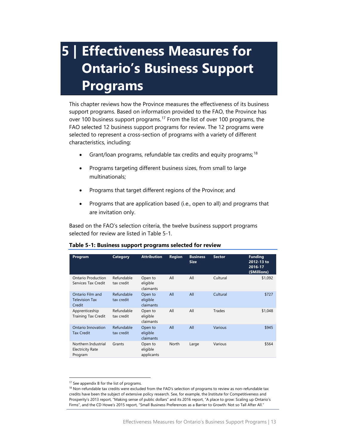# <span id="page-16-0"></span>**5 | Effectiveness Measures for Ontario's Business Support Programs**

This chapter reviews how the Province measures the effectiveness of its business support programs. Based on information provided to the FAO, the Province has over 100 business support programs.<sup>[17](#page-16-2)</sup> From the list of over 100 programs, the FAO selected 12 business support programs for review. The 12 programs were selected to represent a cross-section of programs with a variety of different characteristics, including:

- Grant/loan programs, refundable tax credits and equity programs;<sup>[18](#page-16-3)</sup>
- Programs targeting different business sizes, from small to large multinationals;
- Programs that target different regions of the Province; and
- Programs that are application based (i.e., open to all) and programs that are invitation only.

Based on the FAO's selection criteria, the twelve business support programs selected for review are listed in [Table 5-1.](#page-16-1)

| Program                                                   | Category                 | <b>Attribution</b>                | <b>Region</b> | <b>Business</b><br><b>Size</b> | <b>Sector</b> | <b>Funding</b><br>2012-13 to<br>2016-17<br>(\$Millions) |
|-----------------------------------------------------------|--------------------------|-----------------------------------|---------------|--------------------------------|---------------|---------------------------------------------------------|
| Ontario Production<br>Services Tax Credit                 | Refundable<br>tax credit | Open to<br>eligible<br>claimants  | All           | All                            | Cultural      | \$1,092                                                 |
| Ontario Film and<br><b>Television Tax</b><br>Credit       | Refundable<br>tax credit | Open to<br>eligible<br>claimants  | All           | All                            | Cultural      | \$727                                                   |
| Apprenticeship<br><b>Training Tax Credit</b>              | Refundable<br>tax credit | Open to<br>eligible<br>claimants  | All           | All                            | Trades        | \$1,048                                                 |
| Ontario Innovation<br><b>Tax Credit</b>                   | Refundable<br>tax credit | Open to<br>eligible<br>claimants  | All           | All                            | Various       | \$945                                                   |
| Northern Industrial<br><b>Electricity Rate</b><br>Program | Grants                   | Open to<br>eligible<br>applicants | North         | Large                          | Various       | \$564                                                   |

#### <span id="page-16-1"></span>**Table 5-1: Business support programs selected for review**

<span id="page-16-2"></span><sup>&</sup>lt;sup>17</sup> See appendix B for the list of programs.

<span id="page-16-3"></span> $18$  Non-refundable tax credits were excluded from the FAO's selection of programs to review as non-refundable tax credits have been the subject of extensive policy research. See, for example, the Institute for Competitiveness and Prosperity's 2013 report, "Making sense of public dollars" and its 2016 report, "A place to grow: Scaling up Ontario's Firms", and the CD Howe's 2015 report, "Small Business Preferences as a Barrier to Growth: Not so Tall After All."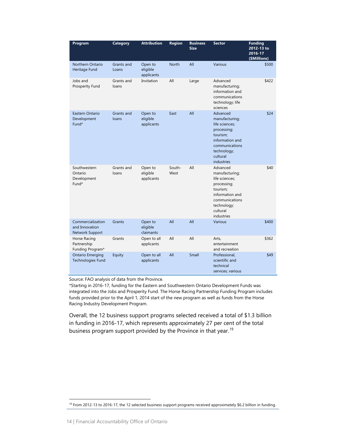| Program                                                | Category            | <b>Attribution</b>                | <b>Region</b>  | <b>Business</b><br><b>Size</b> | <b>Sector</b>                                                                                                                                         | <b>Funding</b><br>2012-13 to<br>2016-17<br>(\$Millions) |
|--------------------------------------------------------|---------------------|-----------------------------------|----------------|--------------------------------|-------------------------------------------------------------------------------------------------------------------------------------------------------|---------------------------------------------------------|
| Northern Ontario<br>Heritage Fund                      | Grants and<br>Loans | Open to<br>eligible<br>applicants | <b>North</b>   | All                            | <b>Various</b>                                                                                                                                        | \$500                                                   |
| Jobs and<br>Prosperity Fund                            | Grants and<br>loans | Invitation                        | All            | Large                          | Advanced<br>manufacturing;<br>information and<br>communications<br>technology; life<br>sciences                                                       | \$422                                                   |
| Eastern Ontario<br>Development<br>Fund*                | Grants and<br>loans | Open to<br>eligible<br>applicants | East           | All                            | Advanced<br>manufacturing;<br>life sciences;<br>processing;<br>tourism;<br>information and<br>communications<br>technology;<br>cultural<br>industries | \$24                                                    |
| Southwestern<br>Ontario<br>Development<br>Fund*        | Grants and<br>loans | Open to<br>eligible<br>applicants | South-<br>West | All                            | Advanced<br>manufacturing;<br>life sciences;<br>processing;<br>tourism;<br>information and<br>communications<br>technology;<br>cultural<br>industries | \$40                                                    |
| Commercialization<br>and Innovation<br>Network Support | Grants              | Open to<br>eligible<br>claimants  | All            | All                            | <b>Various</b>                                                                                                                                        | \$400                                                   |
| Horse Racing<br>Partnership<br>Funding Program*        | Grants              | Open to all<br>applicants         | All            | All                            | Arts,<br>entertainment<br>and recreation                                                                                                              | \$362                                                   |
| <b>Ontario Emerging</b><br>Technologies Fund           | Equity              | Open to all<br>applicants         | All            | Small                          | Professional.<br>scientific and<br>technical<br>services; various                                                                                     | \$49                                                    |

Source: FAO analysis of data from the Province.

\*Starting in 2016-17, funding for the Eastern and Southwestern Ontario Development Funds was integrated into the Jobs and Prosperity Fund. The Horse Racing Partnership Funding Program includes funds provided prior to the April 1, 2014 start of the new program as well as funds from the Horse Racing Industry Development Program.

Overall, the 12 business support programs selected received a total of \$1.3 billion in funding in 2016-17, which represents approximately 27 per cent of the total business program support provided by the Province in that year.<sup>[19](#page-17-0)</sup>

<span id="page-17-0"></span><sup>&</sup>lt;sup>19</sup> From 2012-13 to 2016-17, the 12 selected business support programs received approximately \$6.2 billion in funding.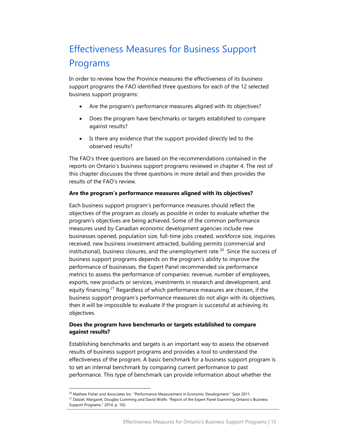# <span id="page-18-0"></span>Effectiveness Measures for Business Support Programs

In order to review how the Province measures the effectiveness of its business support programs the FAO identified three questions for each of the 12 selected business support programs:

- Are the program's performance measures aligned with its objectives?
- Does the program have benchmarks or targets established to compare against results?
- Is there any evidence that the support provided directly led to the observed results?

The FAO's three questions are based on the recommendations contained in the reports on Ontario's business support programs reviewed in chapter 4. The rest of this chapter discusses the three questions in more detail and then provides the results of the FAO's review.

#### **Are the program's performance measures aligned with its objectives?**

Each business support program's performance measures should reflect the objectives of the program as closely as possible in order to evaluate whether the program's objectives are being achieved. Some of the common performance measures used by Canadian economic development agencies include new businesses opened, population size, full-time jobs created, workforce size, inquiries received, new business investment attracted, building permits (commercial and institutional), business closures, and the unemployment rate.<sup>[20](#page-18-1)</sup> Since the success of business support programs depends on the program's ability to improve the performance of businesses, the Expert Panel recommended six performance metrics to assess the performance of companies: revenue, number of employees, exports, new products or services, investments in research and development, and equity financing.<sup>[21](#page-18-2)</sup> Regardless of which performance measures are chosen, if the business support program's performance measures do not align with its objectives, then it will be impossible to evaluate if the program is successful at achieving its objectives.

#### **Does the program have benchmarks or targets established to compare against results?**

Establishing benchmarks and targets is an important way to assess the observed results of business support programs and provides a tool to understand the effectiveness of the program. A basic benchmark for a business support program is to set an internal benchmark by comparing current performance to past performance. This type of benchmark can provide information about whether the

<span id="page-18-2"></span><span id="page-18-1"></span><sup>21</sup> Dalziel, Margaret, Douglas Cumming and David Wolfe. "Report of the Expert Panel Examining Ontario's Business Support Programs." 2014. p. 102.

<sup>&</sup>lt;sup>20</sup> Mathew Fisher and Associates Inc. "Performance Measurement in Economic Development." Sept 2011.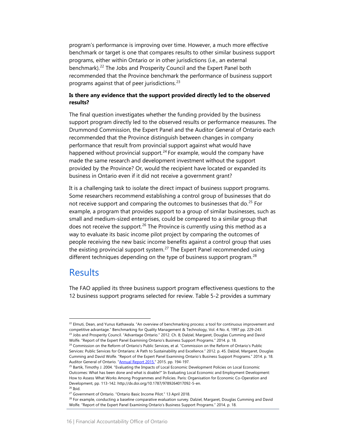program's performance is improving over time. However, a much more effective benchmark or target is one that compares results to other similar business support programs, either within Ontario or in other jurisdictions (i.e., an external benchmark). [22](#page-19-1) The Jobs and Prosperity Council and the Expert Panel both recommended that the Province benchmark the performance of business support programs against that of peer jurisdictions.  $23$ 

#### **Is there any evidence that the support provided directly led to the observed results?**

The final question investigates whether the funding provided by the business support program directly led to the observed results or performance measures. The Drummond Commission, the Expert Panel and the Auditor General of Ontario each recommended that the Province distinguish between changes in company performance that result from provincial support against what would have happened without provincial support. $24$  For example, would the company have made the same research and development investment without the support provided by the Province? Or, would the recipient have located or expanded its business in Ontario even if it did not receive a government grant?

It is a challenging task to isolate the direct impact of business support programs. Some researchers recommend establishing a control group of businesses that do not receive support and comparing the outcomes to businesses that do.<sup>[25](#page-19-4)</sup> For example, a program that provides support to a group of similar businesses, such as small and medium-sized enterprises, could be compared to a similar group that does not receive the support.<sup>[26](#page-19-5)</sup> The Province is currently using this method as a way to evaluate its basic income pilot project by comparing the outcomes of people receiving the new basic income benefits against a control group that uses the existing provincial support system.<sup>[27](#page-19-6)</sup> The Expert Panel recommended using different techniques depending on the type of business support program.<sup>[28](#page-19-7)</sup>

## <span id="page-19-0"></span>**Results**

The FAO applied its three business support program effectiveness questions to the 12 business support programs selected for review. [Table 5-2](#page-20-0) provides a summary

<span id="page-19-1"></span><sup>&</sup>lt;sup>22</sup> Elmuti, Dean, and Yunus Kathawala. "An overview of benchmarking process: a tool for continuous improvement and competitive advantage." Benchmarking for Quality Management & Technology, Vol. 4 No. 4, 1997 pp. 229-243. <sup>23</sup> Jobs and Prosperity Council. "Advantage Ontario." 2012. Ch. 8: Dalziel, Margaret, Douglas Cumming and David Wolfe. "Report of the Expert Panel Examining Ontario's Business Support Programs." 2014. p. 18.

<span id="page-19-3"></span><span id="page-19-2"></span><sup>&</sup>lt;sup>24</sup> Commission on the Reform of Ontario's Public Services, et al. "Commission on the Reform of Ontario's Public Services: Public Services for Ontarians: A Path to Sustainability and Excellence." 2012. p. 45. Dalziel, Margaret, Douglas Cumming and David Wolfe. "Report of the Expert Panel Examining Ontario's Business Support Programs." 2014. p. 18. Auditor General of Ontario. ["Annual Report 2015."](http://www.auditor.on.ca/en/content/annualreports/arreports/en15/2015AR_en_final.pdf) 2015. pp. 194-197.

<span id="page-19-4"></span><sup>&</sup>lt;sup>25</sup> Bartik, Timothy J. 2004. "Evaluating the Impacts of Local Economic Development Policies on Local Economic Outcomes: What has been done and what is doable?" In Evaluating Local Economic and Employment Development: How to Assess What Works Among Programmes and Policies. Paris: Organisation for Economic Co-Operation and Development, pp. 113-142. http://dx.doi.org/10.1787/9789264017092-5-en. <sup>26</sup> Ibid.

<span id="page-19-6"></span><span id="page-19-5"></span><sup>27</sup> Government of Ontario. "Ontario Basic Income Pilot." 13 April 2018.

<span id="page-19-7"></span><sup>&</sup>lt;sup>28</sup> For example, conducting a baseline comparative evaluation survey. Dalziel, Margaret, Douglas Cumming and David Wolfe. "Report of the Expert Panel Examining Ontario's Business Support Programs." 2014. p. 18.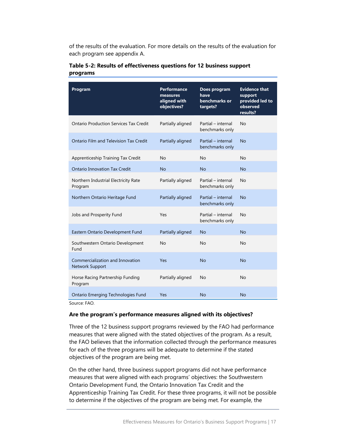of the results of the evaluation. For more details on the results of the evaluation for each program see appendix A.

| Program                                                    | <b>Performance</b><br>measures<br>aligned with<br>objectives? | Does program<br>have<br>benchmarks or<br>targets? | <b>Evidence that</b><br>support<br>provided led to<br>observed<br>results? |
|------------------------------------------------------------|---------------------------------------------------------------|---------------------------------------------------|----------------------------------------------------------------------------|
| <b>Ontario Production Services Tax Credit</b>              | Partially aligned                                             | Partial - internal<br>benchmarks only             | No                                                                         |
| Ontario Film and Television Tax Credit                     | Partially aligned                                             | Partial - internal<br>benchmarks only             | No                                                                         |
| Apprenticeship Training Tax Credit                         | No                                                            | No                                                | No                                                                         |
| <b>Ontario Innovation Tax Credit</b>                       | <b>No</b>                                                     | <b>No</b>                                         | <b>No</b>                                                                  |
| Northern Industrial Electricity Rate<br>Program            | Partially aligned                                             | Partial - internal<br>benchmarks only             | No                                                                         |
| Northern Ontario Heritage Fund                             | Partially aligned                                             | Partial - internal<br>benchmarks only             | No                                                                         |
| Jobs and Prosperity Fund                                   | Yes                                                           | Partial - internal<br>benchmarks only             | No                                                                         |
| Eastern Ontario Development Fund                           | Partially aligned                                             | <b>No</b>                                         | N <sub>o</sub>                                                             |
| Southwestern Ontario Development<br>Fund                   | No                                                            | No                                                | No                                                                         |
| Commercialization and Innovation<br><b>Network Support</b> | Yes                                                           | <b>No</b>                                         | No                                                                         |
| Horse Racing Partnership Funding<br>Program                | Partially aligned                                             | No                                                | No                                                                         |
| Ontario Emerging Technologies Fund                         | Yes                                                           | <b>No</b>                                         | <b>No</b>                                                                  |

#### <span id="page-20-0"></span>**Table 5-2: Results of effectiveness questions for 12 business support programs**

Source: FAO.

#### **Are the program's performance measures aligned with its objectives?**

Three of the 12 business support programs reviewed by the FAO had performance measures that were aligned with the stated objectives of the program. As a result, the FAO believes that the information collected through the performance measures for each of the three programs will be adequate to determine if the stated objectives of the program are being met.

On the other hand, three business support programs did not have performance measures that were aligned with each programs' objectives: the Southwestern Ontario Development Fund, the Ontario Innovation Tax Credit and the Apprenticeship Training Tax Credit. For these three programs, it will not be possible to determine if the objectives of the program are being met. For example, the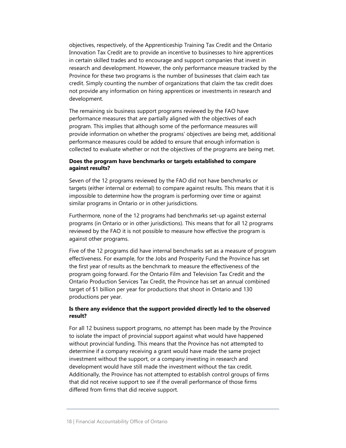objectives, respectively, of the Apprenticeship Training Tax Credit and the Ontario Innovation Tax Credit are to provide an incentive to businesses to hire apprentices in certain skilled trades and to encourage and support companies that invest in research and development. However, the only performance measure tracked by the Province for these two programs is the number of businesses that claim each tax credit. Simply counting the number of organizations that claim the tax credit does not provide any information on hiring apprentices or investments in research and development.

The remaining six business support programs reviewed by the FAO have performance measures that are partially aligned with the objectives of each program. This implies that although some of the performance measures will provide information on whether the programs' objectives are being met, additional performance measures could be added to ensure that enough information is collected to evaluate whether or not the objectives of the programs are being met.

#### **Does the program have benchmarks or targets established to compare against results?**

Seven of the 12 programs reviewed by the FAO did not have benchmarks or targets (either internal or external) to compare against results. This means that it is impossible to determine how the program is performing over time or against similar programs in Ontario or in other jurisdictions.

Furthermore, none of the 12 programs had benchmarks set-up against external programs (in Ontario or in other jurisdictions). This means that for all 12 programs reviewed by the FAO it is not possible to measure how effective the program is against other programs.

Five of the 12 programs did have internal benchmarks set as a measure of program effectiveness. For example, for the Jobs and Prosperity Fund the Province has set the first year of results as the benchmark to measure the effectiveness of the program going forward. For the Ontario Film and Television Tax Credit and the Ontario Production Services Tax Credit, the Province has set an annual combined target of \$1 billion per year for productions that shoot in Ontario and 130 productions per year.

#### **Is there any evidence that the support provided directly led to the observed result?**

For all 12 business support programs, no attempt has been made by the Province to isolate the impact of provincial support against what would have happened without provincial funding. This means that the Province has not attempted to determine if a company receiving a grant would have made the same project investment without the support, or a company investing in research and development would have still made the investment without the tax credit. Additionally, the Province has not attempted to establish control groups of firms that did not receive support to see if the overall performance of those firms differed from firms that did receive support.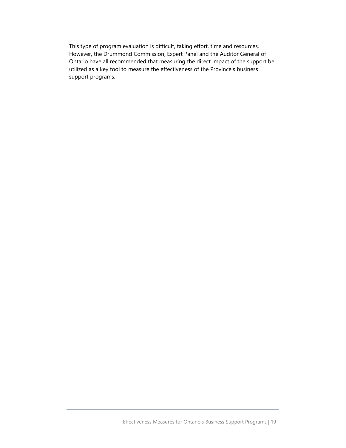This type of program evaluation is difficult, taking effort, time and resources. However, the Drummond Commission, Expert Panel and the Auditor General of Ontario have all recommended that measuring the direct impact of the support be utilized as a key tool to measure the effectiveness of the Province's business support programs.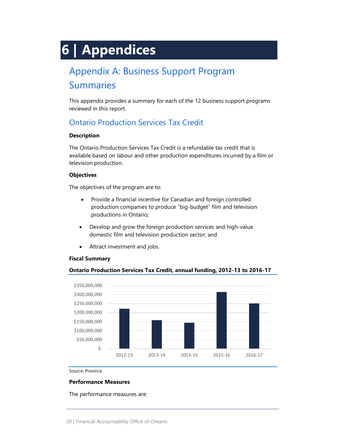# <span id="page-23-0"></span>**6 | Appendices**

# <span id="page-23-1"></span>Appendix A: Business Support Program **Summaries**

This appendix provides a summary for each of the 12 business support programs reviewed in this report.

## Ontario Production Services Tax Credit

#### **Description**

The Ontario Production Services Tax Credit is a refundable tax credit that is available based on labour and other production expenditures incurred by a film or television production.

#### **Objectives**

The objectives of the program are to:

- Provide a financial incentive for Canadian and foreign controlled production companies to produce "big-budget" film and television productions in Ontario;
- Develop and grow the foreign production services and high-value domestic film and television production sector; and
- Attract investment and jobs.

#### **Fiscal Summary**

#### **Ontario Production Services Tax Credit, annual funding, 2012-13 to 2016-17**



Source: Province.

#### **Performance Measures**

The performance measures are: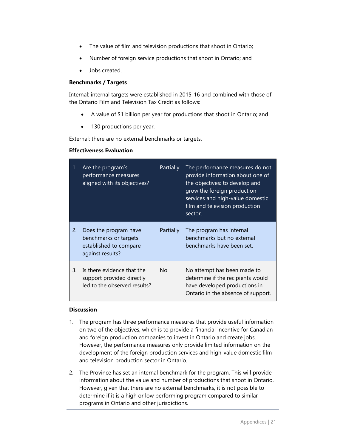- The value of film and television productions that shoot in Ontario;
- Number of foreign service productions that shoot in Ontario; and
- Jobs created.

#### **Benchmarks / Targets**

Internal: internal targets were established in 2015-16 and combined with those of the Ontario Film and Television Tax Credit as follows:

- A value of \$1 billion per year for productions that shoot in Ontario; and
- 130 productions per year.

External: there are no external benchmarks or targets.

#### **Effectiveness Evaluation**

| 1. | Are the program's<br>performance measures<br>aligned with its objectives?                    | Partially | The performance measures do not<br>provide information about one of<br>the objectives: to develop and<br>grow the foreign production<br>services and high-value domestic<br>film and television production<br>sector. |
|----|----------------------------------------------------------------------------------------------|-----------|-----------------------------------------------------------------------------------------------------------------------------------------------------------------------------------------------------------------------|
| 2. | Does the program have<br>benchmarks or targets<br>established to compare<br>against results? | Partially | The program has internal<br>benchmarks but no external<br>benchmarks have been set.                                                                                                                                   |
| 3. | Is there evidence that the<br>support provided directly<br>led to the observed results?      | No.       | No attempt has been made to<br>determine if the recipients would<br>have developed productions in<br>Ontario in the absence of support.                                                                               |

#### **Discussion**

- 1. The program has three performance measures that provide useful information on two of the objectives, which is to provide a financial incentive for Canadian and foreign production companies to invest in Ontario and create jobs. However, the performance measures only provide limited information on the development of the foreign production services and high-value domestic film and television production sector in Ontario.
- 2. The Province has set an internal benchmark for the program. This will provide information about the value and number of productions that shoot in Ontario. However, given that there are no external benchmarks, it is not possible to determine if it is a high or low performing program compared to similar programs in Ontario and other jurisdictions.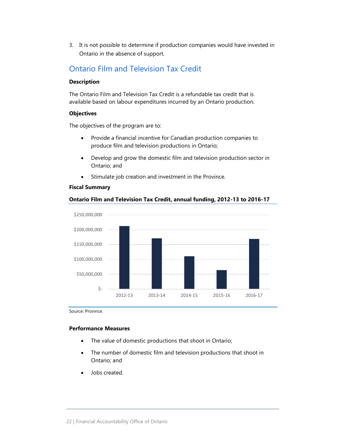3. It is not possible to determine if production companies would have invested in Ontario in the absence of support.

### Ontario Film and Television Tax Credit

#### **Description**

The Ontario Film and Television Tax Credit is a refundable tax credit that is available based on labour expenditures incurred by an Ontario production.

#### **Objectives**

The objectives of the program are to:

- Provide a financial incentive for Canadian production companies to produce film and television productions in Ontario;
- Develop and grow the domestic film and television production sector in Ontario; and
- Stimulate job creation and investment in the Province.

#### **Fiscal Summary**

#### **Ontario Film and Television Tax Credit, annual funding, 2012-13 to 2016-17**



Source: Province.

#### **Performance Measures**

- The value of domestic productions that shoot in Ontario;
- The number of domestic film and television productions that shoot in Ontario; and
- Jobs created.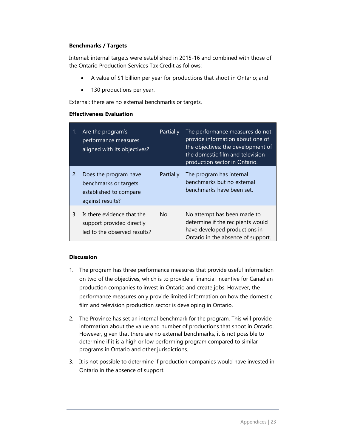#### **Benchmarks / Targets**

Internal: internal targets were established in 2015-16 and combined with those of the Ontario Production Services Tax Credit as follows:

- A value of \$1 billion per year for productions that shoot in Ontario; and
- 130 productions per year.

External: there are no external benchmarks or targets.

#### **Effectiveness Evaluation**

| 1. | Are the program's<br>performance measures<br>aligned with its objectives?                    | Partially | The performance measures do not<br>provide information about one of<br>the objectives: the development of<br>the domestic film and television<br>production sector in Ontario. |
|----|----------------------------------------------------------------------------------------------|-----------|--------------------------------------------------------------------------------------------------------------------------------------------------------------------------------|
| 2. | Does the program have<br>benchmarks or targets<br>established to compare<br>against results? | Partially | The program has internal<br>benchmarks but no external<br>benchmarks have been set.                                                                                            |
| 3. | Is there evidence that the<br>support provided directly<br>led to the observed results?      | No.       | No attempt has been made to<br>determine if the recipients would<br>have developed productions in<br>Ontario in the absence of support.                                        |

#### **Discussion**

- 1. The program has three performance measures that provide useful information on two of the objectives, which is to provide a financial incentive for Canadian production companies to invest in Ontario and create jobs. However, the performance measures only provide limited information on how the domestic film and television production sector is developing in Ontario.
- 2. The Province has set an internal benchmark for the program. This will provide information about the value and number of productions that shoot in Ontario. However, given that there are no external benchmarks, it is not possible to determine if it is a high or low performing program compared to similar programs in Ontario and other jurisdictions.
- 3. It is not possible to determine if production companies would have invested in Ontario in the absence of support.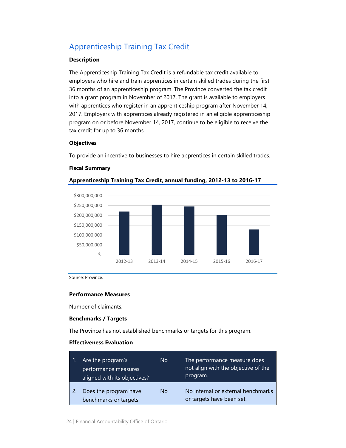# Apprenticeship Training Tax Credit

#### **Description**

The Apprenticeship Training Tax Credit is a refundable tax credit available to employers who hire and train apprentices in certain skilled trades during the first 36 months of an apprenticeship program. The Province converted the tax credit into a grant program in November of 2017. The grant is available to employers with apprentices who register in an apprenticeship program after November 14, 2017. Employers with apprentices already registered in an eligible apprenticeship program on or before November 14, 2017, continue to be eligible to receive the tax credit for up to 36 months.

#### **Objectives**

To provide an incentive to businesses to hire apprentices in certain skilled trades.

#### **Fiscal Summary**



**Apprenticeship Training Tax Credit, annual funding, 2012-13 to 2016-17**

Source: Province.

#### **Performance Measures**

Number of claimants.

#### **Benchmarks / Targets**

The Province has not established benchmarks or targets for this program.

#### **Effectiveness Evaluation**

| Are the program's<br>performance measures<br>aligned with its objectives? | No | The performance measure does<br>not align with the objective of the<br>program. |
|---------------------------------------------------------------------------|----|---------------------------------------------------------------------------------|
| Does the program have<br>benchmarks or targets                            | Nο | No internal or external benchmarks<br>or targets have been set.                 |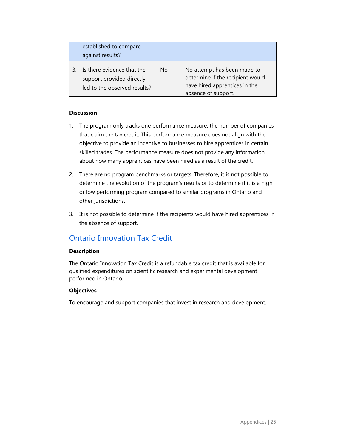| established to compare<br>against results?                                              |    |                                                                                                                         |
|-----------------------------------------------------------------------------------------|----|-------------------------------------------------------------------------------------------------------------------------|
| Is there evidence that the<br>support provided directly<br>led to the observed results? | No | No attempt has been made to<br>determine if the recipient would<br>have hired apprentices in the<br>absence of support. |

#### **Discussion**

- 1. The program only tracks one performance measure: the number of companies that claim the tax credit. This performance measure does not align with the objective to provide an incentive to businesses to hire apprentices in certain skilled trades. The performance measure does not provide any information about how many apprentices have been hired as a result of the credit.
- 2. There are no program benchmarks or targets. Therefore, it is not possible to determine the evolution of the program's results or to determine if it is a high or low performing program compared to similar programs in Ontario and other jurisdictions.
- 3. It is not possible to determine if the recipients would have hired apprentices in the absence of support.

## Ontario Innovation Tax Credit

#### **Description**

The Ontario Innovation Tax Credit is a refundable tax credit that is available for qualified expenditures on scientific research and experimental development performed in Ontario.

#### **Objectives**

To encourage and support companies that invest in research and development.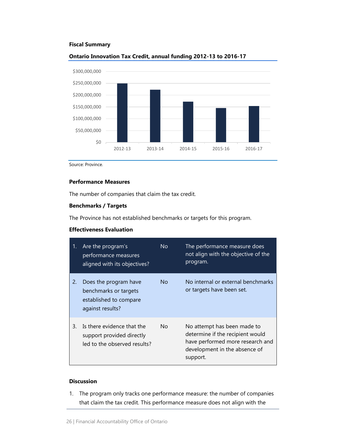#### **Fiscal Summary**



#### **Ontario Innovation Tax Credit, annual funding 2012-13 to 2016-17**

Source: Province.

#### **Performance Measures**

The number of companies that claim the tax credit.

#### **Benchmarks / Targets**

The Province has not established benchmarks or targets for this program.

#### **Effectiveness Evaluation**

| 1. | Are the program's<br>performance measures<br>aligned with its objectives?                    | No. | The performance measure does<br>not align with the objective of the<br>program.                                                                  |
|----|----------------------------------------------------------------------------------------------|-----|--------------------------------------------------------------------------------------------------------------------------------------------------|
| 2. | Does the program have<br>benchmarks or targets<br>established to compare<br>against results? | No. | No internal or external benchmarks<br>or targets have been set.                                                                                  |
| 3. | Is there evidence that the<br>support provided directly<br>led to the observed results?      | No. | No attempt has been made to<br>determine if the recipient would<br>have performed more research and<br>development in the absence of<br>support. |

#### **Discussion**

1. The program only tracks one performance measure: the number of companies that claim the tax credit. This performance measure does not align with the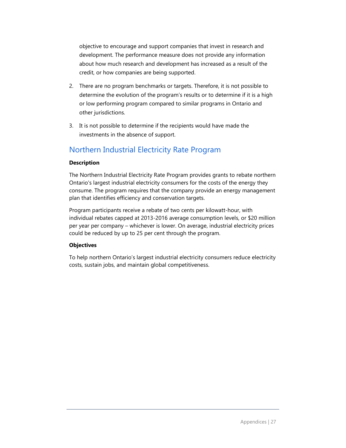objective to encourage and support companies that invest in research and development. The performance measure does not provide any information about how much research and development has increased as a result of the credit, or how companies are being supported.

- 2. There are no program benchmarks or targets. Therefore, it is not possible to determine the evolution of the program's results or to determine if it is a high or low performing program compared to similar programs in Ontario and other jurisdictions.
- 3. It is not possible to determine if the recipients would have made the investments in the absence of support.

### Northern Industrial Electricity Rate Program

#### **Description**

The Northern Industrial Electricity Rate Program provides grants to rebate northern Ontario's largest industrial electricity consumers for the costs of the energy they consume. The program requires that the company provide an energy management plan that identifies efficiency and conservation targets.

Program participants receive a rebate of two cents per kilowatt-hour, with individual rebates capped at 2013-2016 average consumption levels, or \$20 million per year per company – whichever is lower. On average, industrial electricity prices could be reduced by up to 25 per cent through the program.

#### **Objectives**

To help northern Ontario's largest industrial electricity consumers reduce electricity costs, sustain jobs, and maintain global competitiveness.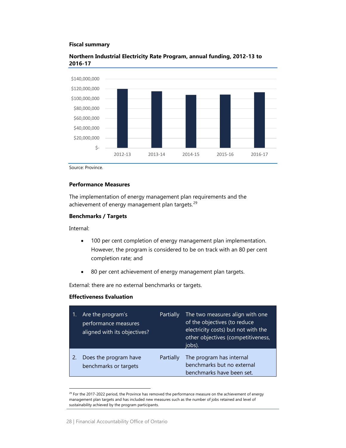#### **Fiscal summary**



#### **Northern Industrial Electricity Rate Program, annual funding, 2012-13 to 2016-17**

Source: Province.

#### **Performance Measures**

The implementation of energy management plan requirements and the achievement of energy management plan targets.<sup>[29](#page-31-0)</sup>

#### **Benchmarks / Targets**

Internal:

- 100 per cent completion of energy management plan implementation. However, the program is considered to be on track with an 80 per cent completion rate; and
- 80 per cent achievement of energy management plan targets.

External: there are no external benchmarks or targets.

#### **Effectiveness Evaluation**

| Are the program's<br>performance measures<br>aligned with its objectives? | Partially | The two measures align with one<br>of the objectives (to reduce<br>electricity costs) but not with the<br>other objectives (competitiveness,<br>jobs). |
|---------------------------------------------------------------------------|-----------|--------------------------------------------------------------------------------------------------------------------------------------------------------|
| Does the program have<br>benchmarks or targets                            | Partially | The program has internal<br>benchmarks but no external<br>benchmarks have been set.                                                                    |

<span id="page-31-0"></span><sup>&</sup>lt;sup>29</sup> For the 2017-2022 period, the Province has removed the performance measure on the achievement of energy management plan targets and has included new measures such as the number of jobs retained and level of sustainability achieved by the program participants.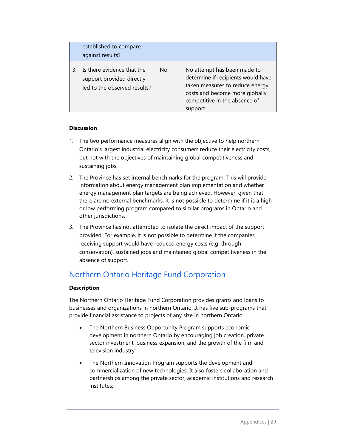|   | established to compare<br>against results?                                              |    |                                                                                                                                                                                     |
|---|-----------------------------------------------------------------------------------------|----|-------------------------------------------------------------------------------------------------------------------------------------------------------------------------------------|
| 3 | Is there evidence that the<br>support provided directly<br>led to the observed results? | No | No attempt has been made to<br>determine if recipients would have<br>taken measures to reduce energy<br>costs and become more globally<br>competitive in the absence of<br>support. |

#### **Discussion**

- 1. The two performance measures align with the objective to help northern Ontario's largest industrial electricity consumers reduce their electricity costs, but not with the objectives of maintaining global competitiveness and sustaining jobs.
- 2. The Province has set internal benchmarks for the program. This will provide information about energy management plan implementation and whether energy management plan targets are being achieved. However, given that there are no external benchmarks, it is not possible to determine if it is a high or low performing program compared to similar programs in Ontario and other jurisdictions.
- 3. The Province has not attempted to isolate the direct impact of the support provided. For example, it is not possible to determine if the companies receiving support would have reduced energy costs (e.g. through conservation), sustained jobs and maintained global competitiveness in the absence of support.

## Northern Ontario Heritage Fund Corporation

#### **Description**

The Northern Ontario Heritage Fund Corporation provides grants and loans to businesses and organizations in northern Ontario. It has five sub-programs that provide financial assistance to projects of any size in northern Ontario:

- The Northern Business Opportunity Program supports economic development in northern Ontario by encouraging job creation, private sector investment, business expansion, and the growth of the film and television industry;
- The Northern Innovation Program supports the development and commercialization of new technologies. It also fosters collaboration and partnerships among the private sector, academic institutions and research institutes;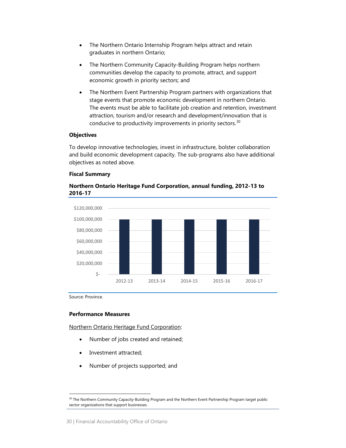- The Northern Ontario Internship Program helps attract and retain graduates in northern Ontario;
- The Northern Community Capacity-Building Program helps northern communities develop the capacity to promote, attract, and support economic growth in priority sectors; and
- The Northern Event Partnership Program partners with organizations that stage events that promote economic development in northern Ontario. The events must be able to facilitate job creation and retention, investment attraction, tourism and/or research and development/innovation that is conducive to productivity improvements in priority sectors. $30$

#### **Objectives**

To develop innovative technologies, invest in infrastructure, bolster collaboration and build economic development capacity. The sub-programs also have additional objectives as noted above.

#### **Fiscal Summary**





Source: Province.

#### **Performance Measures**

Northern Ontario Heritage Fund Corporation:

- Number of jobs created and retained;
- Investment attracted;
- Number of projects supported; and

<span id="page-33-0"></span><sup>&</sup>lt;sup>30</sup> The Northern Community Capacity-Building Program and the Northern Event Partnership Program target public sector organizations that support businesses.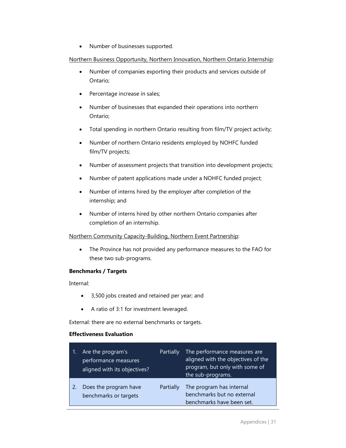• Number of businesses supported.

#### Northern Business Opportunity, Northern Innovation, Northern Ontario Internship:

- Number of companies exporting their products and services outside of Ontario;
- Percentage increase in sales;
- Number of businesses that expanded their operations into northern Ontario;
- Total spending in northern Ontario resulting from film/TV project activity;
- Number of northern Ontario residents employed by NOHFC funded film/TV projects;
- Number of assessment projects that transition into development projects;
- Number of patent applications made under a NOHFC funded project;
- Number of interns hired by the employer after completion of the internship; and
- Number of interns hired by other northern Ontario companies after completion of an internship.

#### Northern Community Capacity-Building, Northern Event Partnership:

• The Province has not provided any performance measures to the FAO for these two sub-programs.

#### **Benchmarks / Targets**

Internal:

- 3,500 jobs created and retained per year; and
- A ratio of 3:1 for investment leveraged.

External: there are no external benchmarks or targets.

#### **Effectiveness Evaluation**

| $\blacksquare$ 1. | Are the program's<br>performance measures<br>aligned with its objectives? | Partially | The performance measures are<br>aligned with the objectives of the<br>program, but only with some of<br>the sub-programs. |
|-------------------|---------------------------------------------------------------------------|-----------|---------------------------------------------------------------------------------------------------------------------------|
|                   | Does the program have<br>benchmarks or targets                            | Partially | The program has internal<br>benchmarks but no external<br>benchmarks have been set.                                       |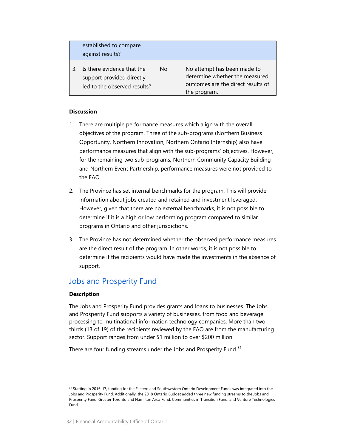| established to compare<br>against results?                                              |    |                                                                                                                     |
|-----------------------------------------------------------------------------------------|----|---------------------------------------------------------------------------------------------------------------------|
| Is there evidence that the<br>support provided directly<br>led to the observed results? | Nο | No attempt has been made to<br>determine whether the measured<br>outcomes are the direct results of<br>the program. |

#### **Discussion**

- 1. There are multiple performance measures which align with the overall objectives of the program. Three of the sub-programs (Northern Business Opportunity, Northern Innovation, Northern Ontario Internship) also have performance measures that align with the sub-programs' objectives. However, for the remaining two sub-programs, Northern Community Capacity Building and Northern Event Partnership, performance measures were not provided to the FAO.
- 2. The Province has set internal benchmarks for the program. This will provide information about jobs created and retained and investment leveraged. However, given that there are no external benchmarks, it is not possible to determine if it is a high or low performing program compared to similar programs in Ontario and other jurisdictions.
- 3. The Province has not determined whether the observed performance measures are the direct result of the program. In other words, it is not possible to determine if the recipients would have made the investments in the absence of support.

### Jobs and Prosperity Fund

#### **Description**

The Jobs and Prosperity Fund provides grants and loans to businesses. The Jobs and Prosperity Fund supports a variety of businesses, from food and beverage processing to multinational information technology companies. More than twothirds (13 of 19) of the recipients reviewed by the FAO are from the manufacturing sector. Support ranges from under \$1 million to over \$200 million.

There are four funding streams under the Jobs and Prosperity Fund.<sup>[31](#page-35-0)</sup>

<span id="page-35-0"></span><sup>&</sup>lt;sup>31</sup> Starting in 2016-17, funding for the Eastern and Southwestern Ontario Development Funds was integrated into the Jobs and Prosperity Fund. Additionally, the 2018 Ontario Budget added three new funding streams to the Jobs and Prosperity Fund: Greater Toronto and Hamilton Area Fund; Communities in Transition Fund; and Venture Technologies Fund.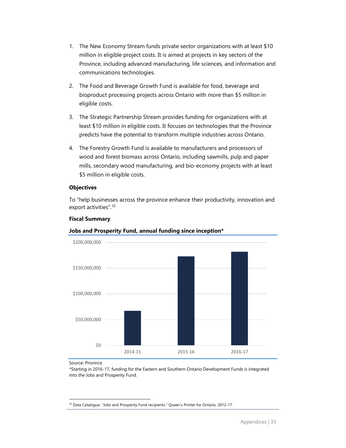- 1. The New Economy Stream funds private sector organizations with at least \$10 million in eligible project costs. It is aimed at projects in key sectors of the Province, including advanced manufacturing, life sciences, and information and communications technologies.
- 2. The Food and Beverage Growth Fund is available for food, beverage and bioproduct processing projects across Ontario with more than \$5 million in eligible costs.
- 3. The Strategic Partnership Stream provides funding for organizations with at least \$10 million in eligible costs. It focuses on technologies that the Province predicts have the potential to transform multiple industries across Ontario.
- 4. The Forestry Growth Fund is available to manufacturers and processors of wood and forest biomass across Ontario, including sawmills, pulp and paper mills, secondary wood manufacturing, and bio-economy projects with at least \$5 million in eligible costs.

#### **Objectives**

**Fiscal Summary**

To "help businesses across the province enhance their productivity, innovation and export activities".<sup>[32](#page-36-0)</sup>



Source: Province.

\*Starting in 2016-17, funding for the Eastern and Southern Ontario Development Funds is integrated into the Jobs and Prosperity Fund.

<span id="page-36-0"></span><sup>&</sup>lt;sup>32</sup> Data Catalogue. "Jobs and Prosperity Fund recipients." Queen's Printer for Ontario, 2012-17.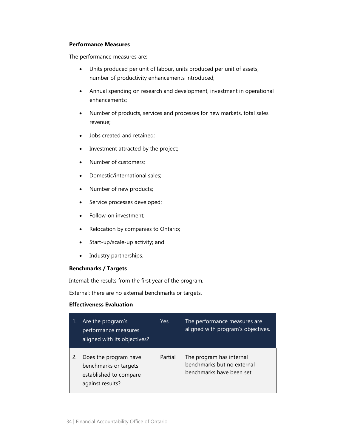#### **Performance Measures**

The performance measures are:

- Units produced per unit of labour, units produced per unit of assets, number of productivity enhancements introduced;
- Annual spending on research and development, investment in operational enhancements;
- Number of products, services and processes for new markets, total sales revenue;
- Jobs created and retained;
- Investment attracted by the project;
- Number of customers;
- Domestic/international sales;
- Number of new products;
- Service processes developed;
- Follow-on investment;
- Relocation by companies to Ontario;
- Start-up/scale-up activity; and
- Industry partnerships.

#### **Benchmarks / Targets**

Internal: the results from the first year of the program.

External: there are no external benchmarks or targets.

#### **Effectiveness Evaluation**

| Are the program's<br>performance measures<br>aligned with its objectives?                    | Yes     | The performance measures are<br>aligned with program's objectives.                  |
|----------------------------------------------------------------------------------------------|---------|-------------------------------------------------------------------------------------|
| Does the program have<br>benchmarks or targets<br>established to compare<br>against results? | Partial | The program has internal<br>benchmarks but no external<br>benchmarks have been set. |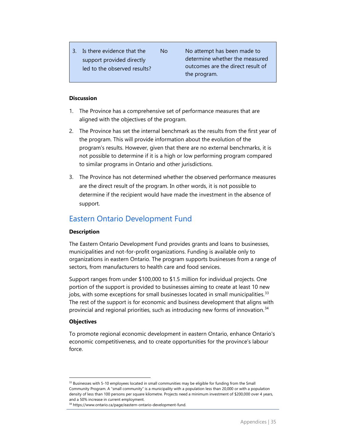3. Is there evidence that the support provided directly led to the observed results?

No No attempt has been made to determine whether the measured outcomes are the direct result of the program.

#### **Discussion**

- 1. The Province has a comprehensive set of performance measures that are aligned with the objectives of the program.
- 2. The Province has set the internal benchmark as the results from the first year of the program. This will provide information about the evolution of the program's results. However, given that there are no external benchmarks, it is not possible to determine if it is a high or low performing program compared to similar programs in Ontario and other jurisdictions.
- 3. The Province has not determined whether the observed performance measures are the direct result of the program. In other words, it is not possible to determine if the recipient would have made the investment in the absence of support.

## Eastern Ontario Development Fund

#### **Description**

The Eastern Ontario Development Fund provides grants and loans to businesses, municipalities and not-for-profit organizations. Funding is available only to organizations in eastern Ontario. The program supports businesses from a range of sectors, from manufacturers to health care and food services.

Support ranges from under \$100,000 to \$1.5 million for individual projects. One portion of the support is provided to businesses aiming to create at least 10 new jobs, with some exceptions for small businesses located in small municipalities.<sup>[33](#page-38-0)</sup> The rest of the support is for economic and business development that aligns with provincial and regional priorities, such as introducing new forms of innovation. $34$ 

#### **Objectives**

To promote regional economic development in eastern Ontario, enhance Ontario's economic competitiveness, and to create opportunities for the province's labour force.

<span id="page-38-0"></span><sup>&</sup>lt;sup>33</sup> Businesses with 5-10 employees located in small communities may be eligible for funding from the Small Community Program. A "small community" is a municipality with a population less than 20,000 or with a population density of less than 100 persons per square kilometre. Projects need a minimum investment of \$200,000 over 4 years, and a 50% increase in current employment.

<span id="page-38-1"></span><sup>34</sup> https://www.ontario.ca/page/eastern-ontario-development-fund.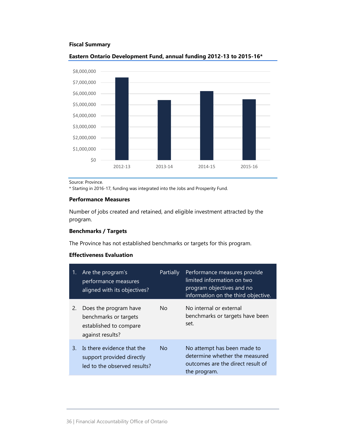#### **Fiscal Summary**



#### **Eastern Ontario Development Fund, annual funding 2012-13 to 2015-16\***

Source: Province.

\* Starting in 2016-17, funding was integrated into the Jobs and Prosperity Fund.

#### **Performance Measures**

Number of jobs created and retained, and eligible investment attracted by the program.

#### **Benchmarks / Targets**

The Province has not established benchmarks or targets for this program.

#### **Effectiveness Evaluation**

| 1. | Are the program's<br>performance measures<br>aligned with its objectives?                    | Partially | Performance measures provide<br>limited information on two<br>program objectives and no<br>information on the third objective. |
|----|----------------------------------------------------------------------------------------------|-----------|--------------------------------------------------------------------------------------------------------------------------------|
| 2. | Does the program have<br>benchmarks or targets<br>established to compare<br>against results? | No.       | No internal or external<br>benchmarks or targets have been<br>set.                                                             |
| 3. | Is there evidence that the<br>support provided directly<br>led to the observed results?      | <b>No</b> | No attempt has been made to<br>determine whether the measured<br>outcomes are the direct result of<br>the program.             |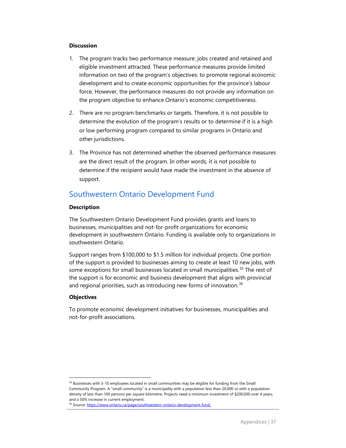#### **Discussion**

- 1. The program tracks two performance measure: jobs created and retained and eligible investment attracted. These performance measures provide limited information on two of the program's objectives: to promote regional economic development and to create economic opportunities for the province's labour force. However, the performance measures do not provide any information on the program objective to enhance Ontario's economic competitiveness.
- 2. There are no program benchmarks or targets. Therefore, it is not possible to determine the evolution of the program's results or to determine if it is a high or low performing program compared to similar programs in Ontario and other jurisdictions.
- 3. The Province has not determined whether the observed performance measures are the direct result of the program. In other words, it is not possible to determine if the recipient would have made the investment in the absence of support.

## Southwestern Ontario Development Fund

#### **Description**

The Southwestern Ontario Development Fund provides grants and loans to businesses, municipalities and not-for-profit organizations for economic development in southwestern Ontario. Funding is available only to organizations in southwestern Ontario.

Support ranges from \$100,000 to \$1.5 million for individual projects. One portion of the support is provided to businesses aiming to create at least 10 new jobs, with some exceptions for small businesses located in small municipalities.<sup>[35](#page-40-0)</sup> The rest of the support is for economic and business development that aligns with provincial and regional priorities, such as introducing new forms of innovation.<sup>[36](#page-40-1)</sup>

#### **Objectives**

To promote economic development initiatives for businesses, municipalities and not-for-profit associations.

<span id="page-40-0"></span><sup>&</sup>lt;sup>35</sup> Businesses with 5-10 employees located in small communities may be eligible for funding from the Small Community Program. A "small community" is a municipality with a population less than 20,000 or with a population density of less than 100 persons per square kilometre. Projects need a minimum investment of \$200,000 over 4 years, and a 50% increase in current employment.

<span id="page-40-1"></span><sup>36</sup> Source[: https://www.ontario.ca/page/southwestern-ontario-development-fund.](https://www.ontario.ca/page/southwestern-ontario-development-fund)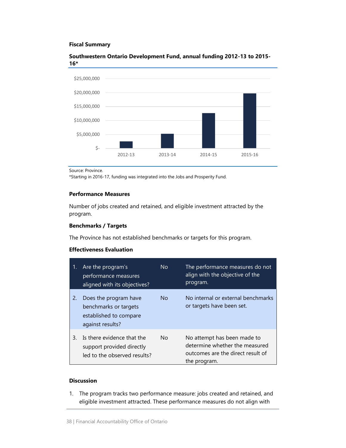#### **Fiscal Summary**



#### **Southwestern Ontario Development Fund, annual funding 2012-13 to 2015- 16\***

\*Starting in 2016-17, funding was integrated into the Jobs and Prosperity Fund.

#### **Performance Measures**

Number of jobs created and retained, and eligible investment attracted by the program.

#### **Benchmarks / Targets**

The Province has not established benchmarks or targets for this program.

#### **Effectiveness Evaluation**

| 1. | Are the program's<br>performance measures<br>aligned with its objectives?                    | No.       | The performance measures do not<br>align with the objective of the<br>program.                                     |
|----|----------------------------------------------------------------------------------------------|-----------|--------------------------------------------------------------------------------------------------------------------|
| 2. | Does the program have<br>benchmarks or targets<br>established to compare<br>against results? | <b>No</b> | No internal or external benchmarks<br>or targets have been set.                                                    |
| 3. | Is there evidence that the<br>support provided directly<br>led to the observed results?      | No        | No attempt has been made to<br>determine whether the measured<br>outcomes are the direct result of<br>the program. |

#### **Discussion**

1. The program tracks two performance measure: jobs created and retained, and eligible investment attracted. These performance measures do not align with

Source: Province.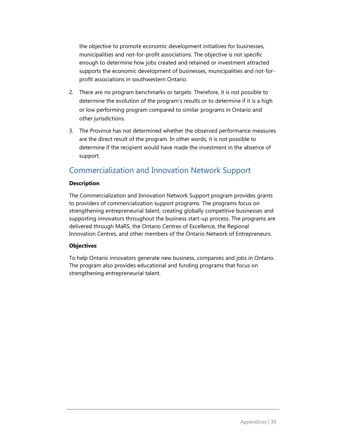the objective to promote economic development initiatives for businesses, municipalities and not-for-profit associations. The objective is not specific enough to determine how jobs created and retained or investment attracted supports the economic development of businesses, municipalities and not-forprofit associations in southwestern Ontario.

- 2. There are no program benchmarks or targets. Therefore, it is not possible to determine the evolution of the program's results or to determine if it is a high or low performing program compared to similar programs in Ontario and other jurisdictions.
- 3. The Province has not determined whether the observed performance measures are the direct result of the program. In other words, it is not possible to determine if the recipient would have made the investment in the absence of support.

## Commercialization and Innovation Network Support

#### **Description**

The Commercialization and Innovation Network Support program provides grants to providers of commercialization support programs. The programs focus on strengthening entrepreneurial talent, creating globally competitive businesses and supporting innovators throughout the business start-up process. The programs are delivered through MaRS, the Ontario Centres of Excellence, the Regional Innovation Centres, and other members of the Ontario Network of Entrepreneurs.

#### **Objectives**

To help Ontario innovators generate new business, companies and jobs in Ontario. The program also provides educational and funding programs that focus on strengthening entrepreneurial talent.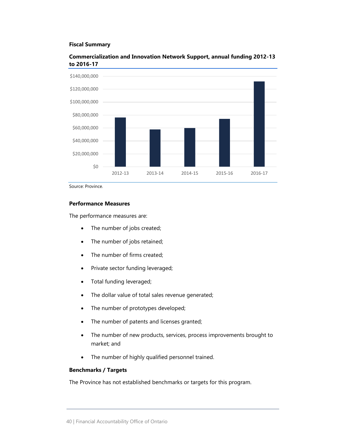#### **Fiscal Summary**



#### **Commercialization and Innovation Network Support, annual funding 2012-13 to 2016-17**

Source: Province.

#### **Performance Measures**

The performance measures are:

- The number of jobs created;
- The number of jobs retained;
- The number of firms created;
- Private sector funding leveraged;
- Total funding leveraged;
- The dollar value of total sales revenue generated;
- The number of prototypes developed;
- The number of patents and licenses granted;
- The number of new products, services, process improvements brought to market; and
- The number of highly qualified personnel trained.

#### **Benchmarks / Targets**

The Province has not established benchmarks or targets for this program.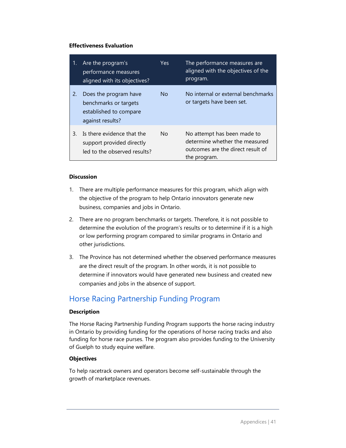#### **Effectiveness Evaluation**

| 1. | Are the program's<br>performance measures<br>aligned with its objectives?                    | Yes            | The performance measures are<br>aligned with the objectives of the<br>program.                                     |
|----|----------------------------------------------------------------------------------------------|----------------|--------------------------------------------------------------------------------------------------------------------|
| 2. | Does the program have<br>benchmarks or targets<br>established to compare<br>against results? | N <sub>o</sub> | No internal or external benchmarks<br>or targets have been set.                                                    |
| 3. | Is there evidence that the<br>support provided directly<br>led to the observed results?      | N <sub>o</sub> | No attempt has been made to<br>determine whether the measured<br>outcomes are the direct result of<br>the program. |

#### **Discussion**

- 1. There are multiple performance measures for this program, which align with the objective of the program to help Ontario innovators generate new business, companies and jobs in Ontario.
- 2. There are no program benchmarks or targets. Therefore, it is not possible to determine the evolution of the program's results or to determine if it is a high or low performing program compared to similar programs in Ontario and other jurisdictions.
- 3. The Province has not determined whether the observed performance measures are the direct result of the program. In other words, it is not possible to determine if innovators would have generated new business and created new companies and jobs in the absence of support.

### Horse Racing Partnership Funding Program

#### **Description**

The Horse Racing Partnership Funding Program supports the horse racing industry in Ontario by providing funding for the operations of horse racing tracks and also funding for horse race purses. The program also provides funding to the University of Guelph to study equine welfare.

#### **Objectives**

To help racetrack owners and operators become self-sustainable through the growth of marketplace revenues.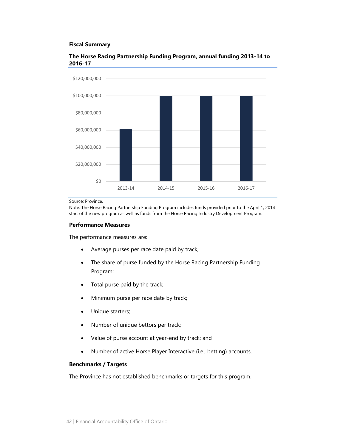#### **Fiscal Summary**



#### **The Horse Racing Partnership Funding Program, annual funding 2013-14 to 2016-17**

Source: Province.

Note: The Horse Racing Partnership Funding Program includes funds provided prior to the April 1, 2014 start of the new program as well as funds from the Horse Racing Industry Development Program.

#### **Performance Measures**

The performance measures are:

- Average purses per race date paid by track;
- The share of purse funded by the Horse Racing Partnership Funding Program;
- Total purse paid by the track;
- Minimum purse per race date by track;
- Unique starters;
- Number of unique bettors per track;
- Value of purse account at year-end by track; and
- Number of active Horse Player Interactive (i.e., betting) accounts.

#### **Benchmarks / Targets**

The Province has not established benchmarks or targets for this program.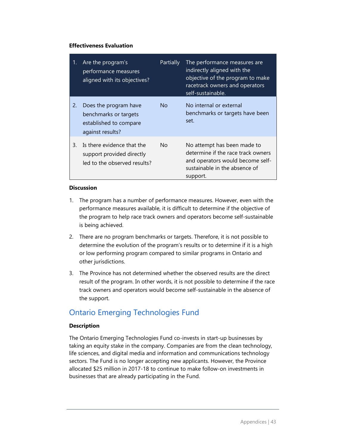#### **Effectiveness Evaluation**

| 1. | Are the program's<br>performance measures<br>aligned with its objectives?                    | Partially | The performance measures are<br>indirectly aligned with the<br>objective of the program to make<br>racetrack owners and operators<br>self-sustainable. |
|----|----------------------------------------------------------------------------------------------|-----------|--------------------------------------------------------------------------------------------------------------------------------------------------------|
| 2. | Does the program have<br>benchmarks or targets<br>established to compare<br>against results? | No.       | No internal or external<br>benchmarks or targets have been<br>set.                                                                                     |
| 3. | Is there evidence that the<br>support provided directly<br>led to the observed results?      | No.       | No attempt has been made to<br>determine if the race track owners<br>and operators would become self-<br>sustainable in the absence of<br>support.     |

#### **Discussion**

- 1. The program has a number of performance measures. However, even with the performance measures available, it is difficult to determine if the objective of the program to help race track owners and operators become self-sustainable is being achieved.
- 2. There are no program benchmarks or targets. Therefore, it is not possible to determine the evolution of the program's results or to determine if it is a high or low performing program compared to similar programs in Ontario and other jurisdictions.
- 3. The Province has not determined whether the observed results are the direct result of the program. In other words, it is not possible to determine if the race track owners and operators would become self-sustainable in the absence of the support.

## Ontario Emerging Technologies Fund

#### **Description**

The Ontario Emerging Technologies Fund co-invests in start-up businesses by taking an equity stake in the company. Companies are from the clean technology, life sciences, and digital media and information and communications technology sectors. The Fund is no longer accepting new applicants. However, the Province allocated \$25 million in 2017-18 to continue to make follow-on investments in businesses that are already participating in the Fund.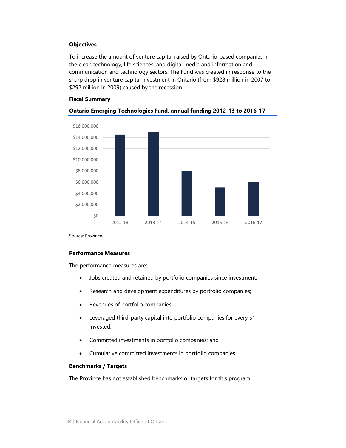#### **Objectives**

To increase the amount of venture capital raised by Ontario-based companies in the clean technology, life sciences, and digital media and information and communication and technology sectors. The Fund was created in response to the sharp drop in venture capital investment in Ontario (from \$928 million in 2007 to \$292 million in 2009) caused by the recession.

#### **Fiscal Summary**



#### **Ontario Emerging Technologies Fund, annual funding 2012-13 to 2016-17**

Source: Province.

#### **Performance Measures**

The performance measures are:

- Jobs created and retained by portfolio companies since investment;
- Research and development expenditures by portfolio companies;
- Revenues of portfolio companies;
- Leveraged third-party capital into portfolio companies for every \$1 invested;
- Committed investments in portfolio companies; and
- Cumulative committed investments in portfolio companies.

#### **Benchmarks / Targets**

The Province has not established benchmarks or targets for this program.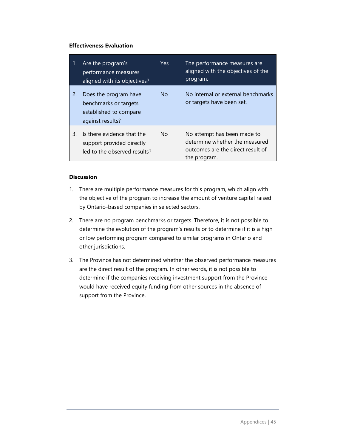#### **Effectiveness Evaluation**

| 1. | Are the program's<br>performance measures<br>aligned with its objectives?                    | Yes:      | The performance measures are<br>aligned with the objectives of the<br>program.                                     |
|----|----------------------------------------------------------------------------------------------|-----------|--------------------------------------------------------------------------------------------------------------------|
| 2. | Does the program have<br>benchmarks or targets<br>established to compare<br>against results? | <b>No</b> | No internal or external benchmarks<br>or targets have been set.                                                    |
| 3. | Is there evidence that the<br>support provided directly<br>led to the observed results?      | No.       | No attempt has been made to<br>determine whether the measured<br>outcomes are the direct result of<br>the program. |

#### **Discussion**

- 1. There are multiple performance measures for this program, which align with the objective of the program to increase the amount of venture capital raised by Ontario-based companies in selected sectors.
- 2. There are no program benchmarks or targets. Therefore, it is not possible to determine the evolution of the program's results or to determine if it is a high or low performing program compared to similar programs in Ontario and other jurisdictions.
- 3. The Province has not determined whether the observed performance measures are the direct result of the program. In other words, it is not possible to determine if the companies receiving investment support from the Province would have received equity funding from other sources in the absence of support from the Province.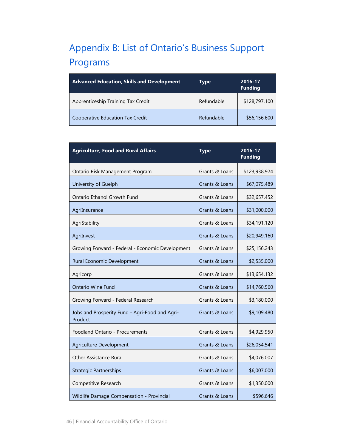# <span id="page-49-0"></span>Appendix B: List of Ontario's Business Support Programs

| <b>Advanced Education, Skills and Development</b> | Type       | 2016-17<br><b>Funding</b> |
|---------------------------------------------------|------------|---------------------------|
| Apprenticeship Training Tax Credit                | Refundable | \$128,797,100             |
| Cooperative Education Tax Credit                  | Refundable | \$56,156,600              |

| <b>Agriculture, Food and Rural Affairs</b>                | <b>Type</b>    | 2016-17<br><b>Funding</b> |
|-----------------------------------------------------------|----------------|---------------------------|
| Ontario Risk Management Program                           | Grants & Loans | \$123,938,924             |
| University of Guelph                                      | Grants & Loans | \$67,075,489              |
| Ontario Ethanol Growth Fund                               | Grants & Loans | \$32,657,452              |
| AgriInsurance                                             | Grants & Loans | \$31,000,000              |
| AgriStability                                             | Grants & Loans | \$34,191,120              |
| AgriInvest                                                | Grants & Loans | \$20,949,160              |
| Growing Forward - Federal - Economic Development          | Grants & Loans | \$25,156,243              |
| Rural Economic Development                                | Grants & Loans | \$2,535,000               |
| Agricorp                                                  | Grants & Loans | \$13,654,132              |
| <b>Ontario Wine Fund</b>                                  | Grants & Loans | \$14,760,560              |
| Growing Forward - Federal Research                        | Grants & Loans | \$3,180,000               |
| Jobs and Prosperity Fund - Agri-Food and Agri-<br>Product | Grants & Loans | \$9,109,480               |
| Foodland Ontario - Procurements                           | Grants & Loans | \$4,929,950               |
| Agriculture Development                                   | Grants & Loans | \$26,054,541              |
| Other Assistance Rural                                    | Grants & Loans | \$4,076,007               |
| <b>Strategic Partnerships</b>                             | Grants & Loans | \$6,007,000               |
| Competitive Research                                      | Grants & Loans | \$1,350,000               |
| Wildlife Damage Compensation - Provincial                 | Grants & Loans | \$596,646                 |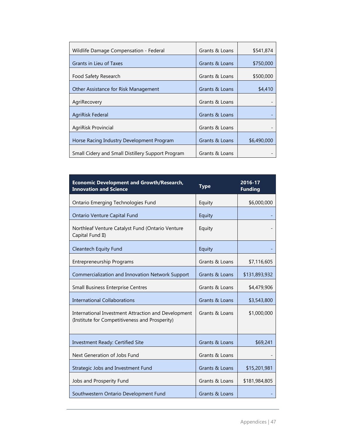| Wildlife Damage Compensation - Federal            | Grants & Loans | \$541,874   |
|---------------------------------------------------|----------------|-------------|
| Grants in Lieu of Taxes                           | Grants & Loans | \$750,000   |
| Food Safety Research                              | Grants & Loans | \$500,000   |
| Other Assistance for Risk Management              | Grants & Loans | \$4,410     |
| AgriRecovery                                      | Grants & Loans |             |
| AgriRisk Federal                                  | Grants & Loans |             |
| AgriRisk Provincial                               | Grants & Loans |             |
| Horse Racing Industry Development Program         | Grants & Loans | \$6,490,000 |
| Small Cidery and Small Distillery Support Program | Grants & Loans |             |

| <b>Economic Development and Growth/Research,</b><br><b>Innovation and Science</b>                     | <b>Type</b>    | 2016-17<br><b>Funding</b> |
|-------------------------------------------------------------------------------------------------------|----------------|---------------------------|
| Ontario Emerging Technologies Fund                                                                    | Equity         | \$6,000,000               |
| <b>Ontario Venture Capital Fund</b>                                                                   | Equity         |                           |
| Northleaf Venture Catalyst Fund (Ontario Venture<br>Capital Fund II)                                  | Equity         |                           |
| Cleantech Equity Fund                                                                                 | Equity         |                           |
| <b>Entrepreneurship Programs</b>                                                                      | Grants & Loans | \$7,116,605               |
| Commercialization and Innovation Network Support                                                      | Grants & Loans | \$131,893,932             |
| Small Business Enterprise Centres                                                                     | Grants & Loans | \$4,479,906               |
| <b>International Collaborations</b>                                                                   | Grants & Loans | \$3,543,800               |
| International Investment Attraction and Development<br>(Institute for Competitiveness and Prosperity) | Grants & Loans | \$1,000,000               |
| Investment Ready: Certified Site                                                                      | Grants & Loans | \$69,241                  |
| Next Generation of Jobs Fund                                                                          | Grants & Loans |                           |
| Strategic Jobs and Investment Fund                                                                    | Grants & Loans | \$15,201,981              |
| Jobs and Prosperity Fund                                                                              | Grants & Loans | \$181,984,805             |
| Southwestern Ontario Development Fund                                                                 | Grants & Loans |                           |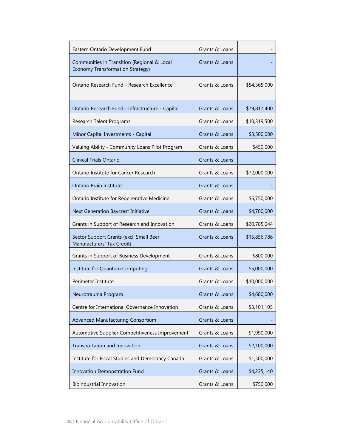| Eastern Ontario Development Fund                                                       | Grants & Loans |              |
|----------------------------------------------------------------------------------------|----------------|--------------|
| Communities in Transition (Regional & Local<br><b>Economy Transformation Strategy)</b> | Grants & Loans |              |
| Ontario Research Fund - Research Excellence                                            | Grants & Loans | \$54,365,000 |
| Ontario Research Fund - Infrastructure - Capital                                       | Grants & Loans | \$79,817,400 |
| Research Talent Programs                                                               | Grants & Loans | \$10,319,500 |
| Minor Capital Investments - Capital                                                    | Grants & Loans | \$3,500,000  |
| Valuing Ability - Community Loans Pilot Program                                        | Grants & Loans | \$450,000    |
| <b>Clinical Trials Ontario</b>                                                         | Grants & Loans |              |
| Ontario Institute for Cancer Research                                                  | Grants & Loans | \$72,000,000 |
| Ontario Brain Institute                                                                | Grants & Loans |              |
| Ontario Institute for Regenerative Medicine                                            | Grants & Loans | \$6,750,000  |
| Next Generation Baycrest Initiative                                                    | Grants & Loans | \$4,700,000  |
| Grants in Support of Research and Innovation                                           | Grants & Loans | \$20,785,044 |
| Sector Support Grants (excl. Small Beer<br>Manufacturers' Tax Credit)                  | Grants & Loans | \$15,856,786 |
| Grants in Support of Business Development                                              | Grants & Loans | \$800,000    |
| Institute for Quantum Computing                                                        | Grants & Loans | \$5,000,000  |
| Perimeter Institute                                                                    | Grants & Loans | \$10,000,000 |
| Neurotrauma Program                                                                    | Grants & Loans | \$4,680,000  |
| Centre for International Governance Innovation                                         | Grants & Loans | \$3,101,105  |
| <b>Advanced Manufacturing Consortium</b>                                               | Grants & Loans |              |
| Automotive Supplier Competitiveness Improvement                                        | Grants & Loans | \$1,990,000  |
| Transportation and Innovation                                                          | Grants & Loans | \$2,100,000  |
| Institute for Fiscal Studies and Democracy Canada                                      | Grants & Loans | \$1,500,000  |
| <b>Innovation Demonstration Fund</b>                                                   | Grants & Loans | \$4,235,140  |
| <b>Bioindustrial Innovation</b>                                                        | Grants & Loans | \$750,000    |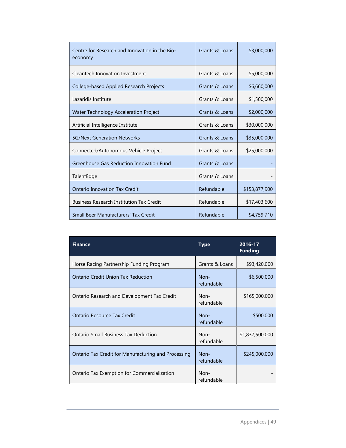| Centre for Research and Innovation in the Bio-<br>economy | Grants & Loans | \$3,000,000   |
|-----------------------------------------------------------|----------------|---------------|
| <b>Cleantech Innovation Investment</b>                    | Grants & Loans | \$5,000,000   |
| <b>College-based Applied Research Projects</b>            | Grants & Loans | \$6,660,000   |
| Lazaridis Institute                                       | Grants & Loans | \$1,500,000   |
| Water Technology Acceleration Project                     | Grants & Loans | \$2,000,000   |
| Artificial Intelligence Institute                         | Grants & Loans | \$30,000,000  |
| <b>5G/Next Generation Networks</b>                        | Grants & Loans | \$35,000,000  |
| Connected/Autonomous Vehicle Project                      | Grants & Loans | \$25,000,000  |
| Greenhouse Gas Reduction Innovation Fund                  | Grants & Loans |               |
| TalentEdge                                                | Grants & Loans |               |
| <b>Ontario Innovation Tax Credit</b>                      | Refundable     | \$153,877,900 |
| <b>Business Research Institution Tax Credit</b>           | Refundable     | \$17,403,600  |
| Small Beer Manufacturers' Tax Credit                      | Refundable     | \$4,759,710   |

| <b>Finance</b>                                      | Type                 | 2016-17<br><b>Funding</b> |
|-----------------------------------------------------|----------------------|---------------------------|
| Horse Racing Partnership Funding Program            | Grants & Loans       | \$93,420,000              |
| Ontario Credit Union Tax Reduction                  | $Non-$<br>refundable | \$6,500,000               |
| Ontario Research and Development Tax Credit         | $Non-$<br>refundable | \$165,000,000             |
| Ontario Resource Tax Credit                         | $Non-$<br>refundable | \$500,000                 |
| Ontario Small Business Tax Deduction                | $Non-$<br>refundable | \$1,837,500,000           |
| Ontario Tax Credit for Manufacturing and Processing | $Non-$<br>refundable | \$245,000,000             |
| Ontario Tax Exemption for Commercialization         | $Non-$<br>refundable |                           |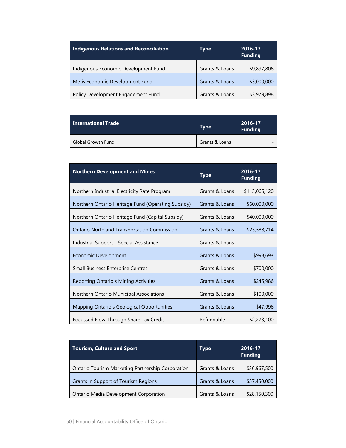| <b>Indigenous Relations and Reconciliation</b> | <b>Type</b>    | 2016-17<br><b>Funding</b> |
|------------------------------------------------|----------------|---------------------------|
| Indigenous Economic Development Fund           | Grants & Loans | \$9,897,806               |
| Metis Economic Development Fund                | Grants & Loans | \$3,000,000               |
| Policy Development Engagement Fund             | Grants & Loans | \$3,979,898               |

| <b>International Trade</b> | Type           | 2016-17<br><b>Funding</b> |
|----------------------------|----------------|---------------------------|
| <b>Global Growth Fund</b>  | Grants & Loans |                           |

| <b>Northern Development and Mines</b>              | <b>Type</b>    | 2016-17<br><b>Funding</b> |
|----------------------------------------------------|----------------|---------------------------|
| Northern Industrial Electricity Rate Program       | Grants & Loans | \$113,065,120             |
| Northern Ontario Heritage Fund (Operating Subsidy) | Grants & Loans | \$60,000,000              |
| Northern Ontario Heritage Fund (Capital Subsidy)   | Grants & Loans | \$40,000,000              |
| <b>Ontario Northland Transportation Commission</b> | Grants & Loans | \$23,588,714              |
| Industrial Support - Special Assistance            | Grants & Loans |                           |
| Economic Development                               | Grants & Loans | \$998,693                 |
| <b>Small Business Enterprise Centres</b>           | Grants & Loans | \$700,000                 |
| Reporting Ontario's Mining Activities              | Grants & Loans | \$245,986                 |
| Northern Ontario Municipal Associations            | Grants & Loans | \$100,000                 |
| Mapping Ontario's Geological Opportunities         | Grants & Loans | \$47,996                  |
| Focussed Flow-Through Share Tax Credit             | Refundable     | \$2,273,100               |

| <b>Tourism, Culture and Sport</b>                 | Type           | 2016-17<br><b>Funding</b> |
|---------------------------------------------------|----------------|---------------------------|
| Ontario Tourism Marketing Partnership Corporation | Grants & Loans | \$36,967,500              |
| Grants in Support of Tourism Regions              | Grants & Loans | \$37,450,000              |
| Ontario Media Development Corporation             | Grants & Loans | \$28,150,300              |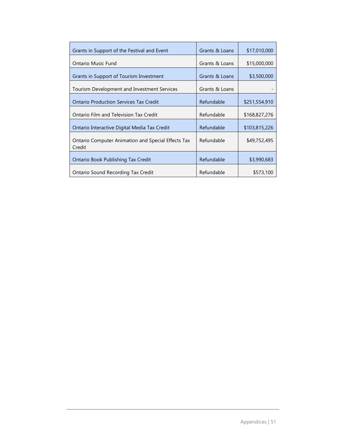| Grants in Support of the Festival and Event                         | Grants & Loans | \$17,010,000  |
|---------------------------------------------------------------------|----------------|---------------|
| Ontario Music Fund                                                  | Grants & Loans | \$15,000,000  |
| Grants in Support of Tourism Investment                             | Grants & Loans | \$3,500,000   |
| Tourism Development and Investment Services                         | Grants & Loans |               |
| <b>Ontario Production Services Tax Credit</b>                       | Refundable     | \$251,554,910 |
| Ontario Film and Television Tax Credit                              | Refundable     | \$168,827,276 |
| Ontario Interactive Digital Media Tax Credit                        | Refundable     | \$103,815,226 |
| <b>Ontario Computer Animation and Special Effects Tax</b><br>Credit | Refundable     | \$49,752,495  |
| Ontario Book Publishing Tax Credit                                  | Refundable     | \$3,990,683   |
| Ontario Sound Recording Tax Credit                                  | Refundable     | \$573,100     |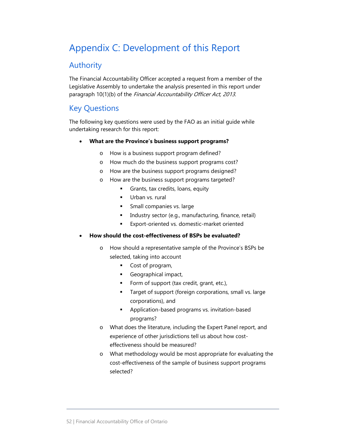# <span id="page-55-0"></span>Appendix C: Development of this Report

## Authority

The Financial Accountability Officer accepted a request from a member of the Legislative Assembly to undertake the analysis presented in this report under paragraph 10(1)(b) of the Financial Accountability Officer Act, 2013.

## Key Questions

The following key questions were used by the FAO as an initial guide while undertaking research for this report:

#### • **What are the Province's business support programs?**

- o How is a business support program defined?
- o How much do the business support programs cost?
- o How are the business support programs designed?
- o How are the business support programs targeted?
	- Grants, tax credits, loans, equity
	- Urban vs. rural
	- Small companies vs. large
	- Industry sector (e.g., manufacturing, finance, retail)
	- **Export-oriented vs. domestic-market oriented**

#### • **How should the cost-effectiveness of BSPs be evaluated?**

- o How should a representative sample of the Province's BSPs be selected, taking into account
	- Cost of program,
	- Geographical impact,
	- Form of support (tax credit, grant, etc.),
	- **Target of support (foreign corporations, small vs. large** corporations), and
	- **Application-based programs vs. invitation-based** programs?
- o What does the literature, including the Expert Panel report, and experience of other jurisdictions tell us about how costeffectiveness should be measured?
- o What methodology would be most appropriate for evaluating the cost-effectiveness of the sample of business support programs selected?